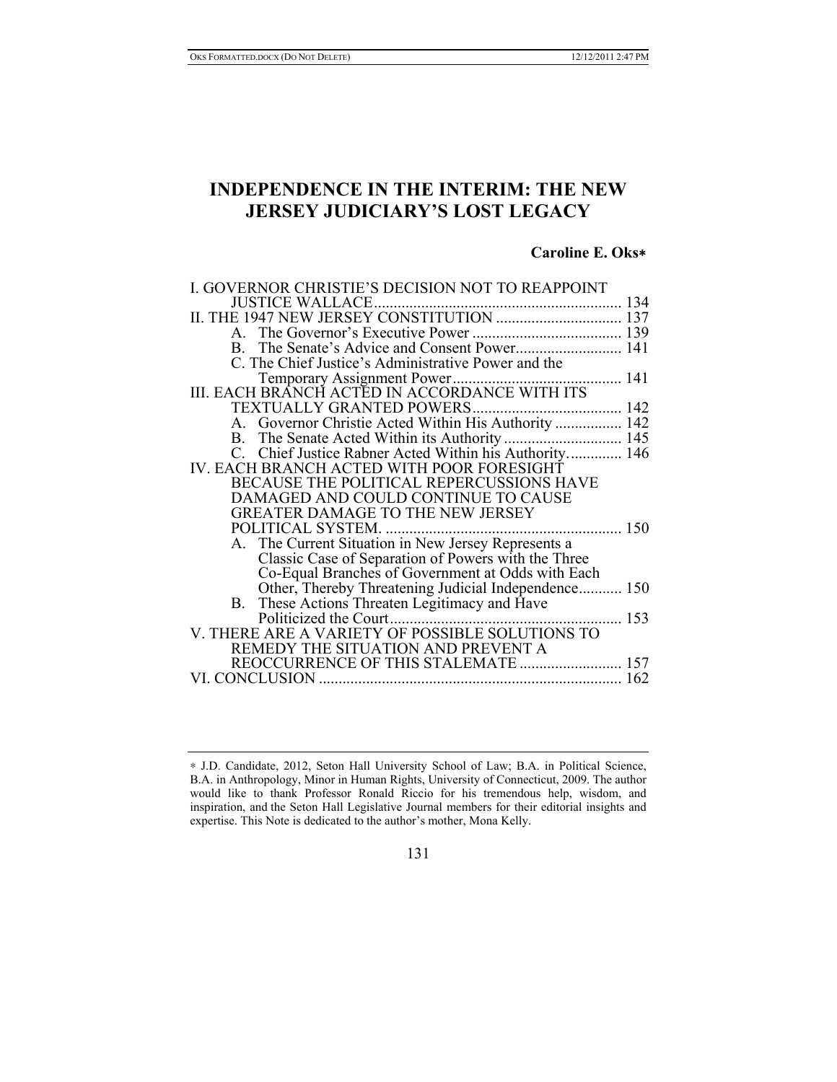# **INDEPENDENCE IN THE INTERIM: THE NEW JERSEY JUDICIARY'S LOST LEGACY**

# **Caroline E. Oks**∗

| I. GOVERNOR CHRISTIE'S DECISION NOT TO REAPPOINT     |     |
|------------------------------------------------------|-----|
| <b>JUSTICE WALLACE</b>                               |     |
| II. THE 1947 NEW JERSEY CONSTITUTION  137            |     |
|                                                      |     |
|                                                      |     |
| C. The Chief Justice's Administrative Power and the  |     |
|                                                      |     |
|                                                      |     |
| TEXTUALLY GRANTED POWERS                             |     |
| A. Governor Christie Acted Within His Authority  142 |     |
|                                                      |     |
|                                                      |     |
| IV. EACH BRANCH ACTED WITH POOR FORESIGHT            |     |
| BECAUSE THE POLITICAL REPERCUSSIONS HAVE             |     |
| DAMAGED AND COULD CONTINUE TO CAUSE                  |     |
| GREATER DAMAGE TO THE NEW JERSEY                     |     |
| POLITICAL SYSTEM.                                    |     |
| A. The Current Situation in New Jersey Represents a  |     |
| Classic Case of Separation of Powers with the Three  |     |
| Co-Equal Branches of Government at Odds with Each    |     |
| Other, Thereby Threatening Judicial Independence 150 |     |
| B. These Actions Threaten Legitimacy and Have        |     |
| Politicized the Court.                               | 153 |
| V. THERE ARE A VARIETY OF POSSIBLE SOLUTIONS TO      |     |
| REMEDY THE SITUATION AND PREVENT A                   |     |
| REOCCURRENCE OF THIS STALEMATE  157                  |     |
|                                                      |     |

# 131

<sup>∗</sup> J.D. Candidate, 2012, Seton Hall University School of Law; B.A. in Political Science, B.A. in Anthropology, Minor in Human Rights, University of Connecticut, 2009. The author would like to thank Professor Ronald Riccio for his tremendous help, wisdom, and inspiration, and the Seton Hall Legislative Journal members for their editorial insights and expertise. This Note is dedicated to the author's mother, Mona Kelly.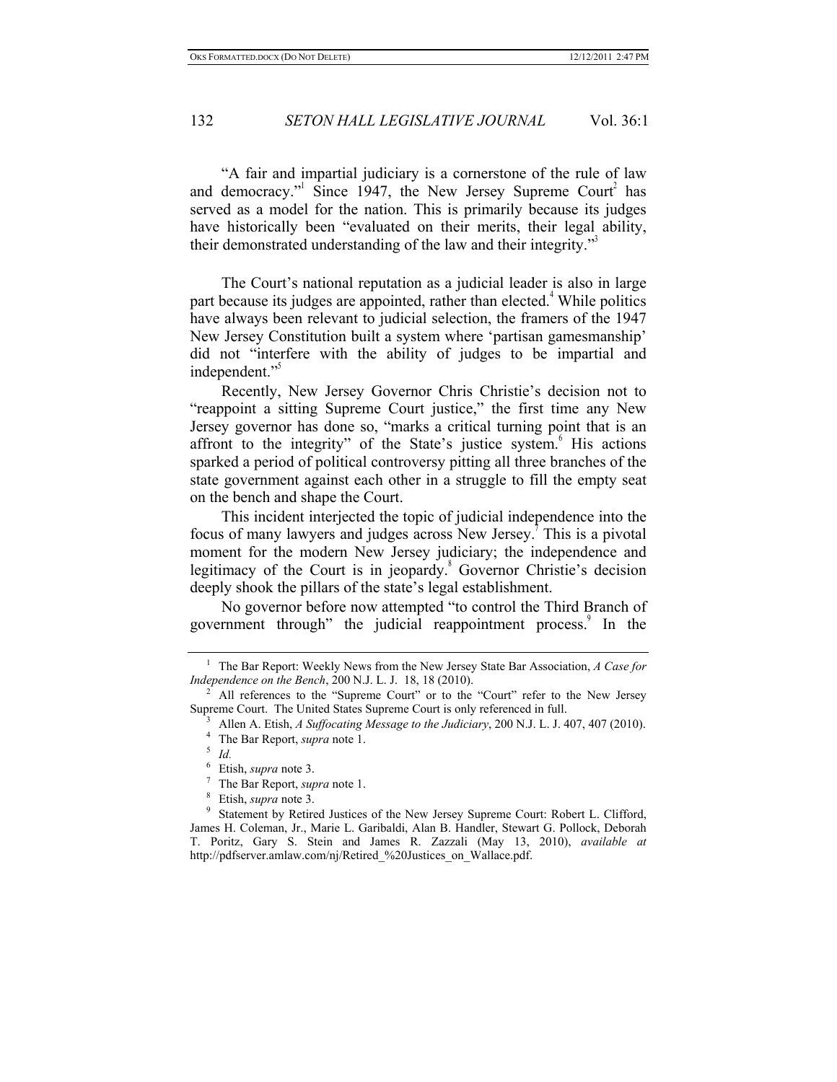"A fair and impartial judiciary is a cornerstone of the rule of law and democracy." Since 1947, the New Jersey Supreme Court<sup>2</sup> has served as a model for the nation. This is primarily because its judges have historically been "evaluated on their merits, their legal ability, their demonstrated understanding of the law and their integrity."

The Court's national reputation as a judicial leader is also in large part because its judges are appointed, rather than elected.<sup>4</sup> While politics have always been relevant to judicial selection, the framers of the 1947 New Jersey Constitution built a system where 'partisan gamesmanship' did not "interfere with the ability of judges to be impartial and independent."

Recently, New Jersey Governor Chris Christie's decision not to "reappoint a sitting Supreme Court justice," the first time any New Jersey governor has done so, "marks a critical turning point that is an affront to the integrity" of the State's justice system. His actions sparked a period of political controversy pitting all three branches of the state government against each other in a struggle to fill the empty seat on the bench and shape the Court.

This incident interjected the topic of judicial independence into the focus of many lawyers and judges across New Jersey.<sup>7</sup> This is a pivotal moment for the modern New Jersey judiciary; the independence and legitimacy of the Court is in jeopardy.<sup>8</sup> Governor Christie's decision deeply shook the pillars of the state's legal establishment.

No governor before now attempted "to control the Third Branch of government through" the judicial reappointment process.<sup>9</sup> In the

First Public 3.<br>
<sup>7</sup> The Bar Report, *supra* note 1.<br>
<sup>8</sup> Etish, *supra* note 3.<br>
9 Statement by Retired Justices of the New Jersey Supreme Court: Robert L. Clifford, James H. Coleman, Jr., Marie L. Garibaldi, Alan B. Handler, Stewart G. Pollock, Deborah T. Poritz, Gary S. Stein and James R. Zazzali (May 13, 2010), *available at* http://pdfserver.amlaw.com/nj/Retired\_%20Justices\_on\_Wallace.pdf.

<sup>1</sup> The Bar Report: Weekly News from the New Jersey State Bar Association, *A Case for Independence on the Bench*, 200 N.J. L. J. 18, 18 (2010).<br><sup>2</sup> All references to the "Supreme Court" or to the "Court" refer to the New Jersey

Supreme Court. The United States Supreme Court is only referenced in full.<br><sup>3</sup> Allen A. Etish, *A Suffocating Message to the Judiciary*, 200 N.J. L. J. 407, 407 (2010).<br><sup>4</sup> The Bar Report, *supra* note 1.<br><sup>5</sup> *Id.*<br><sup>6</sup> Eti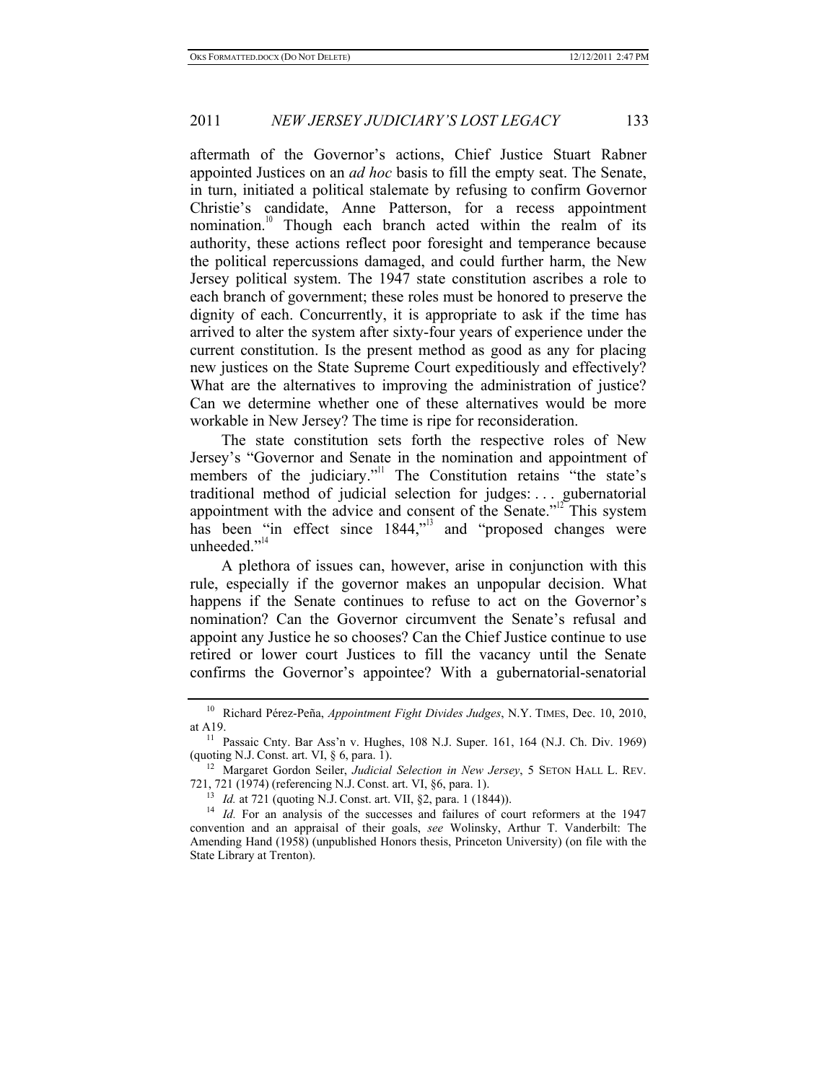aftermath of the Governor's actions, Chief Justice Stuart Rabner appointed Justices on an *ad hoc* basis to fill the empty seat. The Senate, in turn, initiated a political stalemate by refusing to confirm Governor Christie's candidate, Anne Patterson, for a recess appointment nomination.<sup>10</sup> Though each branch acted within the realm of its authority, these actions reflect poor foresight and temperance because the political repercussions damaged, and could further harm, the New Jersey political system. The 1947 state constitution ascribes a role to each branch of government; these roles must be honored to preserve the dignity of each. Concurrently, it is appropriate to ask if the time has arrived to alter the system after sixty-four years of experience under the current constitution. Is the present method as good as any for placing new justices on the State Supreme Court expeditiously and effectively? What are the alternatives to improving the administration of justice? Can we determine whether one of these alternatives would be more workable in New Jersey? The time is ripe for reconsideration.

The state constitution sets forth the respective roles of New Jersey's "Governor and Senate in the nomination and appointment of members of the judiciary."<sup>11</sup> The Constitution retains "the state's traditional method of judicial selection for judges: . . . gubernatorial appointment with the advice and consent of the Senate. $12^2$  This system has been "in effect since 1844," and "proposed changes were unheeded."<sup>14</sup>

A plethora of issues can, however, arise in conjunction with this rule, especially if the governor makes an unpopular decision. What happens if the Senate continues to refuse to act on the Governor's nomination? Can the Governor circumvent the Senate's refusal and appoint any Justice he so chooses? Can the Chief Justice continue to use retired or lower court Justices to fill the vacancy until the Senate confirms the Governor's appointee? With a gubernatorial-senatorial

<sup>10</sup> Richard Pérez-Peña, *Appointment Fight Divides Judges*, N.Y. TIMES, Dec. 10, 2010,

at A19.<br><sup>11</sup> Passaic Cnty. Bar Ass'n v. Hughes, 108 N.J. Super. 161, 164 (N.J. Ch. Div. 1969)<br>(quoting N.J. Const. art. VI, § 6, para. 1).

<sup>&</sup>lt;sup>12</sup> Margaret Gordon Seiler, *Judicial Selection in New Jersey*, 5 SETON HALL L. REV.<br>721, 721 (1974) (referencing N.J. Const. art. VI, §6, para. 1).

<sup>&</sup>lt;sup>13</sup> *Id.* at 721 (quoting N.J. Const. art. VII, §2, para. 1 (1844)).<br><sup>14</sup> *Id.* For an analysis of the successes and failures of court reformers at the 1947 convention and an appraisal of their goals, *see* Wolinsky, Arthur T. Vanderbilt: The Amending Hand (1958) (unpublished Honors thesis, Princeton University) (on file with the State Library at Trenton).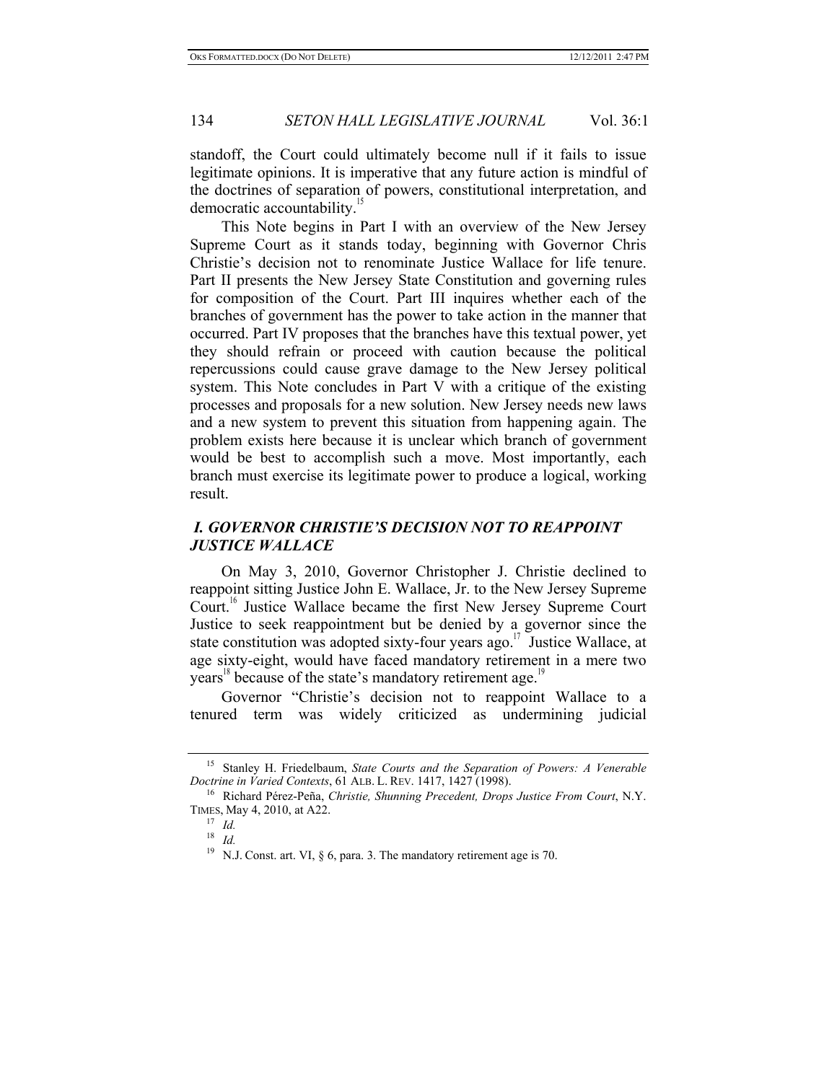standoff, the Court could ultimately become null if it fails to issue legitimate opinions. It is imperative that any future action is mindful of the doctrines of separation of powers, constitutional interpretation, and democratic accountability.<sup>15</sup>

This Note begins in Part I with an overview of the New Jersey Supreme Court as it stands today, beginning with Governor Chris Christie's decision not to renominate Justice Wallace for life tenure. Part II presents the New Jersey State Constitution and governing rules for composition of the Court. Part III inquires whether each of the branches of government has the power to take action in the manner that occurred. Part IV proposes that the branches have this textual power, yet they should refrain or proceed with caution because the political repercussions could cause grave damage to the New Jersey political system. This Note concludes in Part V with a critique of the existing processes and proposals for a new solution. New Jersey needs new laws and a new system to prevent this situation from happening again. The problem exists here because it is unclear which branch of government would be best to accomplish such a move. Most importantly, each branch must exercise its legitimate power to produce a logical, working result.

# *I. GOVERNOR CHRISTIE'S DECISION NOT TO REAPPOINT JUSTICE WALLACE*

On May 3, 2010, Governor Christopher J. Christie declined to reappoint sitting Justice John E. Wallace, Jr. to the New Jersey Supreme Court.<sup>16</sup> Justice Wallace became the first New Jersey Supreme Court Justice to seek reappointment but be denied by a governor since the state constitution was adopted sixty-four years ago.<sup>17</sup> Justice Wallace, at age sixty-eight, would have faced mandatory retirement in a mere two years<sup>18</sup> because of the state's mandatory retirement age.<sup>19</sup>

Governor "Christie's decision not to reappoint Wallace to a tenured term was widely criticized as undermining judicial

<sup>15</sup> Stanley H. Friedelbaum, *State Courts and the Separation of Powers: A Venerable Doctrine in Varied Contexts*, 61 ALB. L. REV. 1417, 1427 (1998).<br><sup>16</sup> Richard Pérez-Peña, *Christie, Shunning Precedent, Drops Justice From Court*, N.Y.

TIMES, May 4, 2010, at A22.<br><sup>17</sup> *Id.*<br><sup>18</sup> *Id.*<br><sup>19</sup> N.J. Const. art. VI, § 6, para. 3. The mandatory retirement age is 70.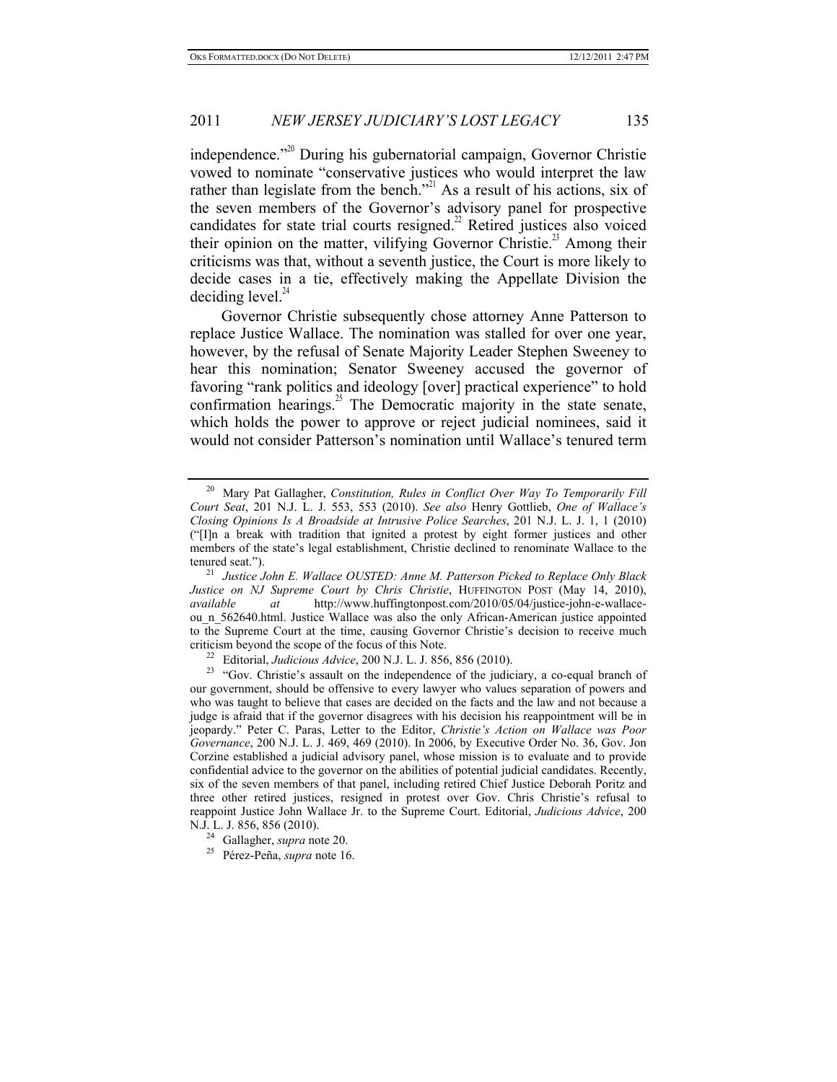independence."<sup>20</sup> During his gubernatorial campaign, Governor Christie vowed to nominate "conservative justices who would interpret the law rather than legislate from the bench."<sup>21</sup> As a result of his actions, six of the seven members of the Governor's advisory panel for prospective candidates for state trial courts resigned. $^{22}$  Retired justices also voiced their opinion on the matter, vilifying Governor Christie.<sup>23</sup> Among their criticisms was that, without a seventh justice, the Court is more likely to decide cases in a tie, effectively making the Appellate Division the deciding level. $44$ 

Governor Christie subsequently chose attorney Anne Patterson to replace Justice Wallace. The nomination was stalled for over one year, however, by the refusal of Senate Majority Leader Stephen Sweeney to hear this nomination; Senator Sweeney accused the governor of favoring "rank politics and ideology [over] practical experience" to hold confirmation hearings.<sup>25</sup> The Democratic majority in the state senate, which holds the power to approve or reject judicial nominees, said it would not consider Patterson's nomination until Wallace's tenured term

<sup>20</sup> Mary Pat Gallagher, *Constitution, Rules in Conflict Over Way To Temporarily Fill Court Seat*, 201 N.J. L. J. 553, 553 (2010). *See also* Henry Gottlieb, *One of Wallace's Closing Opinions Is A Broadside at Intrusive Police Searches*, 201 N.J. L. J. 1, 1 (2010) ("[I]n a break with tradition that ignited a protest by eight former justices and other members of the state's legal establishment, Christie declined to renominate Wallace to the

tenured seat."). 21 *Justice John E. Wallace OUSTED: Anne M. Patterson Picked to Replace Only Black Justice on NJ Supreme Court by Chris Christie*, HUFFINGTON POST (May 14, 2010), *available at* http://www.huffingtonpost.com/2010/05/04/iustice-iohn-e-wallace*available at* http://www.huffingtonpost.com/2010/05/04/justice-john-e-wallaceou n 562640.html. Justice Wallace was also the only African-American justice appointed to the Supreme Court at the time, causing Governor Christie's decision to receive much criticism beyond the scope of the focus of this Note.<br><sup>22</sup> Editorial, *Judicious Advice*, 200 N.J. L. J. 856, 856 (2010).<br><sup>23</sup> "Gov. Christie's assault on the independence of the judiciary, a co-equal branch of

our government, should be offensive to every lawyer who values separation of powers and who was taught to believe that cases are decided on the facts and the law and not because a judge is afraid that if the governor disagrees with his decision his reappointment will be in jeopardy." Peter C. Paras, Letter to the Editor, *Christie's Action on Wallace was Poor Governance*, 200 N.J. L. J. 469, 469 (2010). In 2006, by Executive Order No. 36, Gov. Jon Corzine established a judicial advisory panel, whose mission is to evaluate and to provide confidential advice to the governor on the abilities of potential judicial candidates. Recently, six of the seven members of that panel, including retired Chief Justice Deborah Poritz and three other retired justices, resigned in protest over Gov. Chris Christie's refusal to reappoint Justice John Wallace Jr. to the Supreme Court. Editorial, *Judicious Advice*, 200

N.J. L. J. 856, 856 (2010). 24 Gallagher, *supra* note 20. 25 Pérez-Peña, *supra* note 16.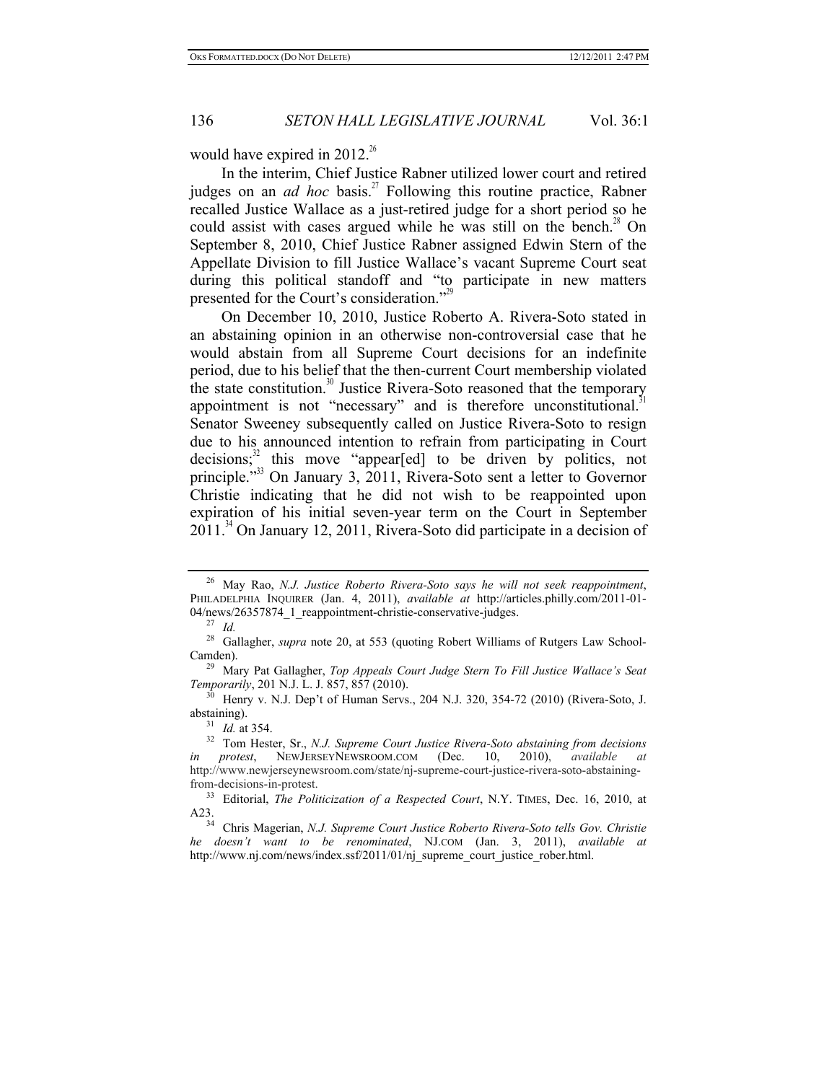would have expired in  $2012^{26}$ 

In the interim, Chief Justice Rabner utilized lower court and retired judges on an *ad hoc* basis.<sup>27</sup> Following this routine practice, Rabner recalled Justice Wallace as a just-retired judge for a short period so he could assist with cases argued while he was still on the bench.<sup>28</sup> On September 8, 2010, Chief Justice Rabner assigned Edwin Stern of the Appellate Division to fill Justice Wallace's vacant Supreme Court seat during this political standoff and "to participate in new matters presented for the Court's consideration."<sup>29</sup>

On December 10, 2010, Justice Roberto A. Rivera-Soto stated in an abstaining opinion in an otherwise non-controversial case that he would abstain from all Supreme Court decisions for an indefinite period, due to his belief that the then-current Court membership violated the state constitution.<sup>30</sup> Justice Rivera-Soto reasoned that the temporary appointment is not "necessary" and is therefore unconstitutional. $31$ Senator Sweeney subsequently called on Justice Rivera-Soto to resign due to his announced intention to refrain from participating in Court decisions; $32$  this move "appear[ed] to be driven by politics, not principle."33 On January 3, 2011, Rivera-Soto sent a letter to Governor Christie indicating that he did not wish to be reappointed upon expiration of his initial seven-year term on the Court in September  $2011<sup>34</sup>$  On January 12, 2011, Rivera-Soto did participate in a decision of

<sup>26</sup> May Rao, *N.J. Justice Roberto Rivera-Soto says he will not seek reappointment*, PHILADELPHIA INQUIRER (Jan. 4, 2011), *available at* http://articles.philly.com/2011-01-

<sup>&</sup>lt;sup>27</sup> Id. <sup>---</sup> <sup>1</sup><br><sup>28</sup> Gallagher, *supra* note 20, at 553 (quoting Robert Williams of Rutgers Law School-Camden). 29 Mary Pat Gallagher, *Top Appeals Court Judge Stern To Fill Justice Wallace's Seat* 

*Temporarily*, 201 N.J. L. J. 857, 857 (2010).<br><sup>30</sup> Henry v. N.J. Dep't of Human Servs., 204 N.J. 320, 354-72 (2010) (Rivera-Soto, J.

abstaining).<br><sup>31</sup> *Id.* at 354.<br><sup>32</sup> Tom Hester, Sr., *N.J. Supreme Court Justice Rivera-Soto abstaining from decisions* 

*in protest*, NEWJERSEYNEWSROOM.COM (Dec. 10, 2010), *available at* http://www.newjerseynewsroom.com/state/nj-supreme-court-justice-rivera-soto-abstainingfrom-decisions-in-protest.

<sup>33</sup> Editorial, *The Politicization of a Respected Court*, N.Y. TIMES, Dec. 16, 2010, at A23. 34 Chris Magerian, *N.J. Supreme Court Justice Roberto Rivera-Soto tells Gov. Christie* 

*he doesn't want to be renominated*, NJ.COM (Jan. 3, 2011), *available at* http://www.nj.com/news/index.ssf/2011/01/nj\_supreme\_court\_justice\_rober.html.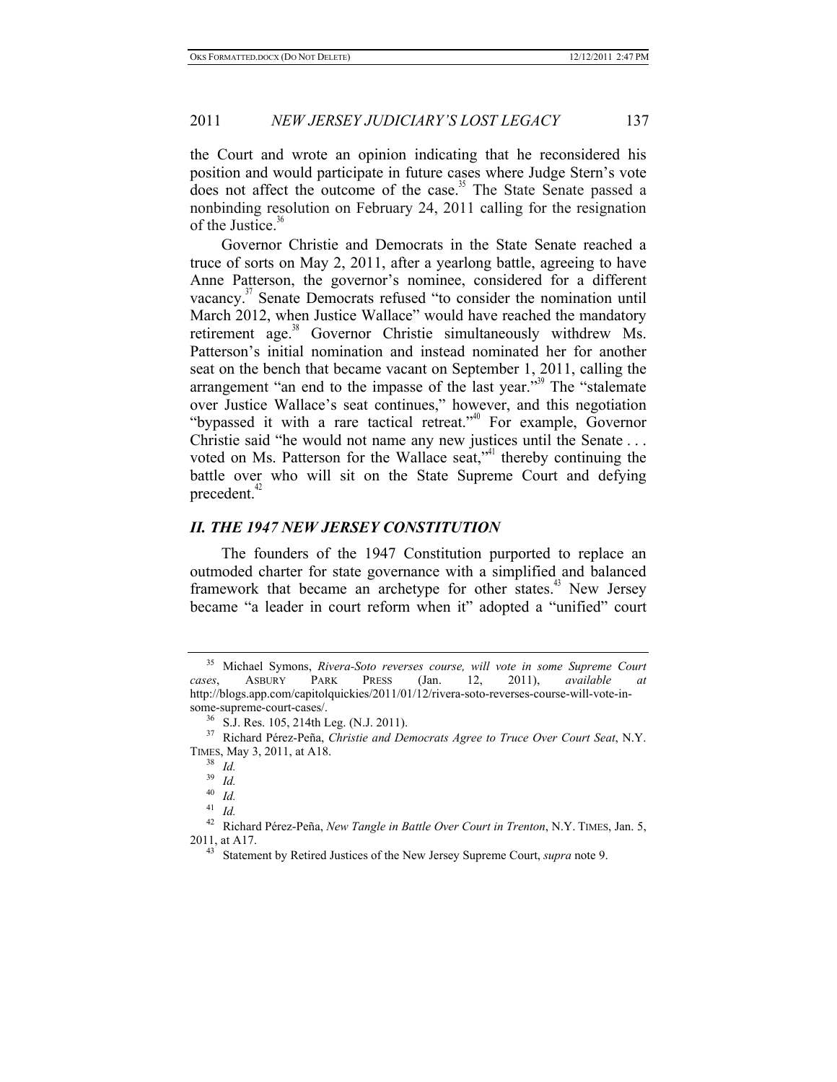the Court and wrote an opinion indicating that he reconsidered his position and would participate in future cases where Judge Stern's vote does not affect the outcome of the case.<sup>35</sup> The State Senate passed a nonbinding resolution on February 24, 2011 calling for the resignation of the Justice.<sup>36</sup>

Governor Christie and Democrats in the State Senate reached a truce of sorts on May 2, 2011, after a yearlong battle, agreeing to have Anne Patterson, the governor's nominee, considered for a different vacancy.<sup>37</sup> Senate Democrats refused "to consider the nomination until March 2012, when Justice Wallace" would have reached the mandatory retirement age.<sup>38</sup> Governor Christie simultaneously withdrew Ms. Patterson's initial nomination and instead nominated her for another seat on the bench that became vacant on September 1, 2011, calling the arrangement "an end to the impasse of the last year."<sup>39</sup> The "stalemate" over Justice Wallace's seat continues," however, and this negotiation "bypassed it with a rare tactical retreat."40 For example, Governor Christie said "he would not name any new justices until the Senate . . . voted on Ms. Patterson for the Wallace seat, $v^4$  thereby continuing the battle over who will sit on the State Supreme Court and defying precedent. $42$ 

# *II. THE 1947 NEW JERSEY CONSTITUTION*

The founders of the 1947 Constitution purported to replace an outmoded charter for state governance with a simplified and balanced framework that became an archetype for other states.<sup>43</sup> New Jersey became "a leader in court reform when it" adopted a "unified" court

 $\frac{40}{41}$  *Id.* 

<sup>35</sup> Michael Symons, *Rivera-Soto reverses course, will vote in some Supreme Court cases*, ASBURY PARK PRESS (Jan. 12, 2011), *available at* http://blogs.app.com/capitolquickies/2011/01/12/rivera-soto-reverses-course-will-vote-in-

<sup>&</sup>lt;sup>36</sup> S.J. Res. 105, 214th Leg. (N.J. 2011). **37** Richard Pérez-Peña, *Christie and Democrats Agree to Truce Over Court Seat*, N.Y. TIMES, May 3, 2011, at A18.<br><sup>38</sup> *Id.*<br><sup>39</sup> *Id.* 

 $\frac{39}{40}$  *Id.* 

 $\frac{41}{42}$  *Id.* <sup>42</sup> Richard Pérez-Peña, *New Tangle in Battle Over Court in Trenton*, N.Y. TIMES, Jan. 5,

<sup>2011,</sup> at A17. 43 Statement by Retired Justices of the New Jersey Supreme Court, *supra* note 9.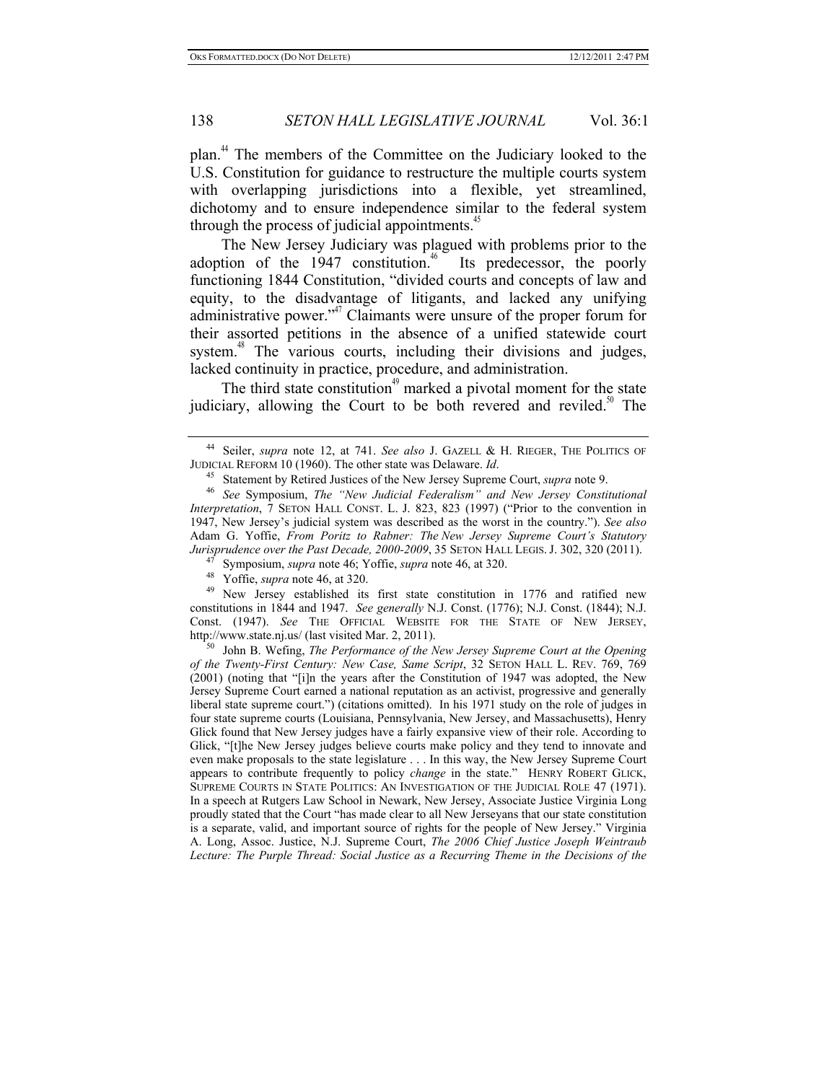plan.<sup>44</sup> The members of the Committee on the Judiciary looked to the U.S. Constitution for guidance to restructure the multiple courts system with overlapping jurisdictions into a flexible, yet streamlined, dichotomy and to ensure independence similar to the federal system through the process of judicial appointments.<sup>45</sup>

The New Jersey Judiciary was plagued with problems prior to the adoption of the  $1947$  constitution.<sup>46</sup> Its predecessor, the poorly functioning 1844 Constitution, "divided courts and concepts of law and equity, to the disadvantage of litigants, and lacked any unifying administrative power."<sup>47</sup> Claimants were unsure of the proper forum for their assorted petitions in the absence of a unified statewide court system.<sup>48</sup> The various courts, including their divisions and judges, lacked continuity in practice, procedure, and administration.

The third state constitution<sup> $49$ </sup> marked a pivotal moment for the state judiciary, allowing the Court to be both revered and reviled.<sup>50</sup> The

New Jersey established its first state constitution in 1776 and ratified new constitutions in 1844 and 1947. *See generally* N.J. Const. (1776); N.J. Const. (1844); N.J. Const. (1947). *See* THE OFFICIAL WEBSITE FOR THE STATE OF NEW JERSEY, http://www.state.nj.us/ (last visited Mar. 2, 2011). 50 John B. Wefing, *The Performance of the New Jersey Supreme Court at the Opening* 

*of the Twenty-First Century: New Case, Same Script*, 32 SETON HALL L. REV. 769, 769 (2001) (noting that "[i]n the years after the Constitution of 1947 was adopted, the New Jersey Supreme Court earned a national reputation as an activist, progressive and generally liberal state supreme court.") (citations omitted). In his 1971 study on the role of judges in four state supreme courts (Louisiana, Pennsylvania, New Jersey, and Massachusetts), Henry Glick found that New Jersey judges have a fairly expansive view of their role. According to Glick, "[t]he New Jersey judges believe courts make policy and they tend to innovate and even make proposals to the state legislature . . . In this way, the New Jersey Supreme Court appears to contribute frequently to policy *change* in the state." HENRY ROBERT GLICK, SUPREME COURTS IN STATE POLITICS: AN INVESTIGATION OF THE JUDICIAL ROLE 47 (1971). In a speech at Rutgers Law School in Newark, New Jersey, Associate Justice Virginia Long proudly stated that the Court "has made clear to all New Jerseyans that our state constitution is a separate, valid, and important source of rights for the people of New Jersey." Virginia A. Long, Assoc. Justice, N.J. Supreme Court, *The 2006 Chief Justice Joseph Weintraub Lecture: The Purple Thread: Social Justice as a Recurring Theme in the Decisions of the* 

<sup>&</sup>lt;sup>44</sup> Seiler, *supra* note 12, at 741. *See also* J. GAZELL & H. RIEGER, THE POLITICS OF JUDICIAL REFORM 10 (1960). The other state was Delaware. *Id*.

<sup>&</sup>lt;sup>45</sup> Statement by Retired Justices of the New Jersey Supreme Court, *supra* note 9.<br><sup>46</sup> See Symposium, *The "New Judicial Federalism" and New Jersey Constitutional Interpretation*, 7 SETON HALL CONST. L. J. 823, 823 (1997) ("Prior to the convention in 1947, New Jersey's judicial system was described as the worst in the country."). *See also* Adam G. Yoffie, *From Poritz to Rabner: The New Jersey Supreme Court's Statutory Jurisprudence over the Past Decade, 2000-2009, 35 SETON HALL LEGIS. J. 302, 320 (2011).*<br><sup>47</sup> Symposium, *supra* note 46; Yoffie, *supra* note 46, at 320.<br><sup>48</sup> Yoffie, *supra* note 46, at 320.<br><sup>49</sup> New Jersey established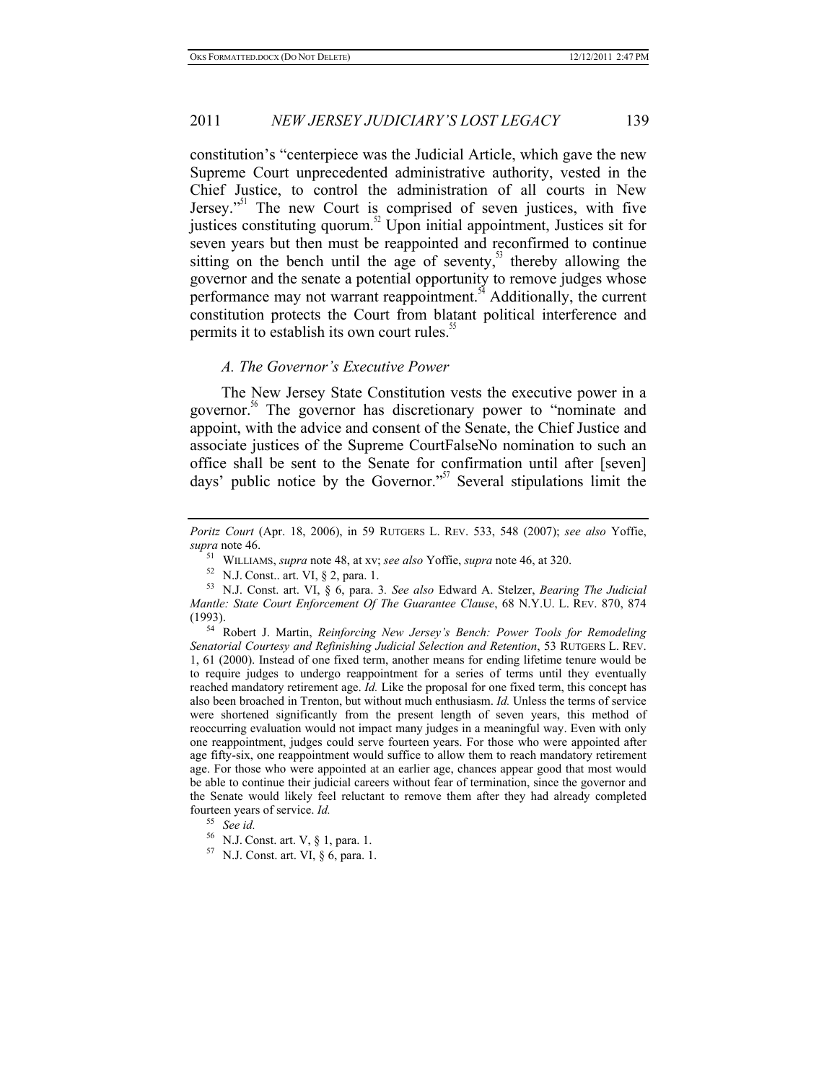constitution's "centerpiece was the Judicial Article, which gave the new Supreme Court unprecedented administrative authority, vested in the Chief Justice, to control the administration of all courts in New Jersey."51 The new Court is comprised of seven justices, with five justices constituting quorum.<sup>52</sup> Upon initial appointment, Justices sit for seven years but then must be reappointed and reconfirmed to continue sitting on the bench until the age of seventy, $5<sup>3</sup>$  thereby allowing the governor and the senate a potential opportunity to remove judges whose performance may not warrant reappointment.<sup>54</sup> Additionally, the current constitution protects the Court from blatant political interference and permits it to establish its own court rules.<sup>35</sup>

#### *A. The Governor's Executive Power*

The New Jersey State Constitution vests the executive power in a governor.<sup>36</sup> The governor has discretionary power to "nominate and appoint, with the advice and consent of the Senate, the Chief Justice and associate justices of the Supreme CourtFalseNo nomination to such an office shall be sent to the Senate for confirmation until after [seven] days' public notice by the Governor.<sup>"57</sup> Several stipulations limit the

*Senatorial Courtesy and Refinishing Judicial Selection and Retention*, 53 RUTGERS L. REV. 1, 61 (2000). Instead of one fixed term, another means for ending lifetime tenure would be to require judges to undergo reappointment for a series of terms until they eventually reached mandatory retirement age. *Id.* Like the proposal for one fixed term, this concept has also been broached in Trenton, but without much enthusiasm. *Id.* Unless the terms of service were shortened significantly from the present length of seven years, this method of reoccurring evaluation would not impact many judges in a meaningful way. Even with only one reappointment, judges could serve fourteen years. For those who were appointed after age fifty-six, one reappointment would suffice to allow them to reach mandatory retirement age. For those who were appointed at an earlier age, chances appear good that most would be able to continue their judicial careers without fear of termination, since the governor and the Senate would likely feel reluctant to remove them after they had already completed fourteen years of service. *Id.* 

*Poritz Court* (Apr. 18, 2006), in 59 RUTGERS L. REV. 533, 548 (2007); *see also* Yoffie, *supra* note 46.

<sup>51</sup> WILLIAMS, *supra* note 48, at xv; *see also* Yoffie, *supra* note 46, at 320.

<sup>53</sup> N.J. Const. art. VI, § 6, para. 3. See also Edward A. Stelzer, *Bearing The Judicial Mantle: State Court Enforcement Of The Guarantee Clause*, 68 N.Y.U. L. REV. 870, 874 (1993). 54 Robert J. Martin, *Reinforcing New Jersey's Bench: Power Tools for Remodeling* 

<sup>&</sup>lt;sup>56</sup> N.J. Const. art. V, § 1, para. 1.<br><sup>57</sup> N.J. Const. art. VI, § 6, para. 1.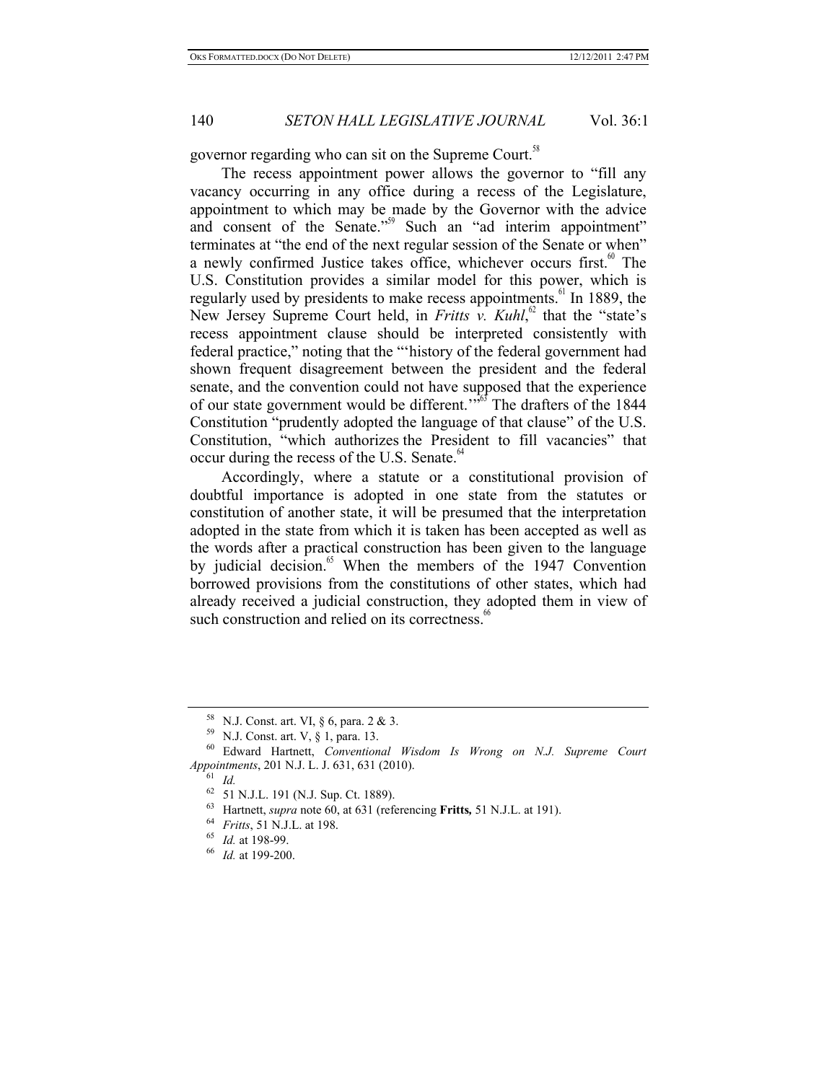governor regarding who can sit on the Supreme Court.<sup>58</sup>

The recess appointment power allows the governor to "fill any vacancy occurring in any office during a recess of the Legislature, appointment to which may be made by the Governor with the advice and consent of the Senate."<sup>59</sup> Such an "ad interim appointment" terminates at "the end of the next regular session of the Senate or when" a newly confirmed Justice takes office, whichever occurs first.<sup> $60$ </sup> The U.S. Constitution provides a similar model for this power, which is regularly used by presidents to make recess appointments.<sup>61</sup> In 1889, the New Jersey Supreme Court held, in *Fritts v. Kuhl*,<sup>62</sup> that the "state's recess appointment clause should be interpreted consistently with federal practice," noting that the "'history of the federal government had shown frequent disagreement between the president and the federal senate, and the convention could not have supposed that the experience of our state government would be different."<sup>563</sup> The drafters of the 1844 Constitution "prudently adopted the language of that clause" of the U.S. Constitution, "which authorizes the President to fill vacancies" that occur during the recess of the U.S. Senate.<sup>64</sup>

Accordingly, where a statute or a constitutional provision of doubtful importance is adopted in one state from the statutes or constitution of another state, it will be presumed that the interpretation adopted in the state from which it is taken has been accepted as well as the words after a practical construction has been given to the language by judicial decision.<sup>65</sup> When the members of the 1947 Convention borrowed provisions from the constitutions of other states, which had already received a judicial construction, they adopted them in view of such construction and relied on its correctness.<sup>6</sup>

<sup>58</sup> N.J. Const. art. VI, § 6, para. 2 & 3. 59 N.J. Const. art. V, § 1, para. 13. 60 Edward Hartnett, *Conventional Wisdom Is Wrong on N.J. Supreme Court Appointments*, 201 N.J. L. J. 631, 631 (2010).<br><sup>61</sup> *Id.*<br><sup>62</sup> 51 N.J.L. 191 (N.J. Sup. Ct. 1889).

<sup>63</sup> Hartnett, *supra* note 60, at 631 (referencing **Fritts**, 51 N.J.L. at 191).<br><sup>64</sup> *Fritts*, 51 N.J.L. at 198.<br><sup>65</sup> *Id.* at 198-99.<br><sup>66</sup> *Id.* at 199-200.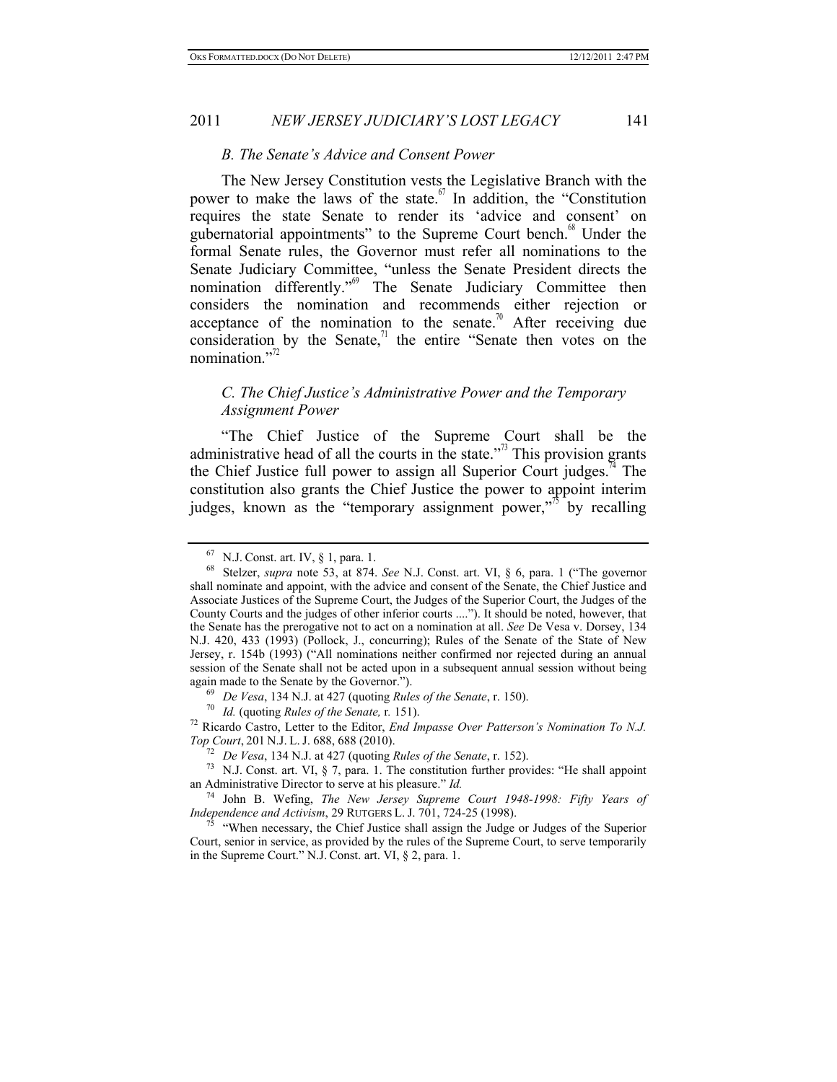#### *B. The Senate's Advice and Consent Power*

The New Jersey Constitution vests the Legislative Branch with the power to make the laws of the state.  $\delta$ <sup>7</sup> In addition, the "Constitution" requires the state Senate to render its 'advice and consent' on gubernatorial appointments" to the Supreme Court bench.<sup>68</sup> Under the formal Senate rules, the Governor must refer all nominations to the Senate Judiciary Committee, "unless the Senate President directs the nomination differently."<sup>69</sup> The Senate Judiciary Committee then considers the nomination and recommends either rejection or acceptance of the nomination to the senate.<sup>70</sup> After receiving due consideration by the Senate, $\frac{1}{1}$  the entire "Senate then votes on the nomination." $^{72}$ 

### *C. The Chief Justice's Administrative Power and the Temporary Assignment Power*

"The Chief Justice of the Supreme Court shall be the administrative head of all the courts in the state. $\frac{1}{x^{3}}$  This provision grants the Chief Justice full power to assign all Superior Court judges.<sup>74</sup> The constitution also grants the Chief Justice the power to appoint interim judges, known as the "temporary assignment power,"<sup> $\frac{7}{3}$ </sup> by recalling

again made to the Senate by the Governor.").<br>
<sup>69</sup> *De Vesa*, 134 N.J. at 427 (quoting *Rules of the Senate*, r. 150).<br>
<sup>70</sup> *Id.* (quoting *Rules of the Senate*, r. 151).<br>
<sup>72</sup> Ricardo Castro, Letter to the Editor, *End* 

<sup>67</sup> N.J. Const. art. IV, § 1, para. 1. 68 Stelzer, *supra* note 53, at 874. *See* N.J. Const. art. VI, § 6, para. 1 ("The governor shall nominate and appoint, with the advice and consent of the Senate, the Chief Justice and Associate Justices of the Supreme Court, the Judges of the Superior Court, the Judges of the County Courts and the judges of other inferior courts ...."). It should be noted, however, that the Senate has the prerogative not to act on a nomination at all. *See* De Vesa v. Dorsey, 134 N.J. 420, 433 (1993) (Pollock, J., concurring); Rules of the Senate of the State of New Jersey, r. 154b (1993) ("All nominations neither confirmed nor rejected during an annual session of the Senate shall not be acted upon in a subsequent annual session without being

*Top Courther Courther Courther Courther Courther Senate, r. 152).*<br>
<sup>73</sup> N.J. Const. art. VI, § 7, para. 1. The constitution further provides: "He shall appoint an Administrative Director to serve at his pleasure." *Id.* 

<sup>&</sup>lt;sup>74</sup> John B. Wefing, *The New Jersey Supreme Court 1948-1998: Fifty Years of Independence and Activism*, 29 RUTGERS L. J. 701, 724-25 (1998).

<sup>&</sup>lt;sup>75</sup> "When necessary, the Chief Justice shall assign the Judge or Judges of the Superior Court, senior in service, as provided by the rules of the Supreme Court, to serve temporarily in the Supreme Court." N.J. Const. art. VI, § 2, para. 1.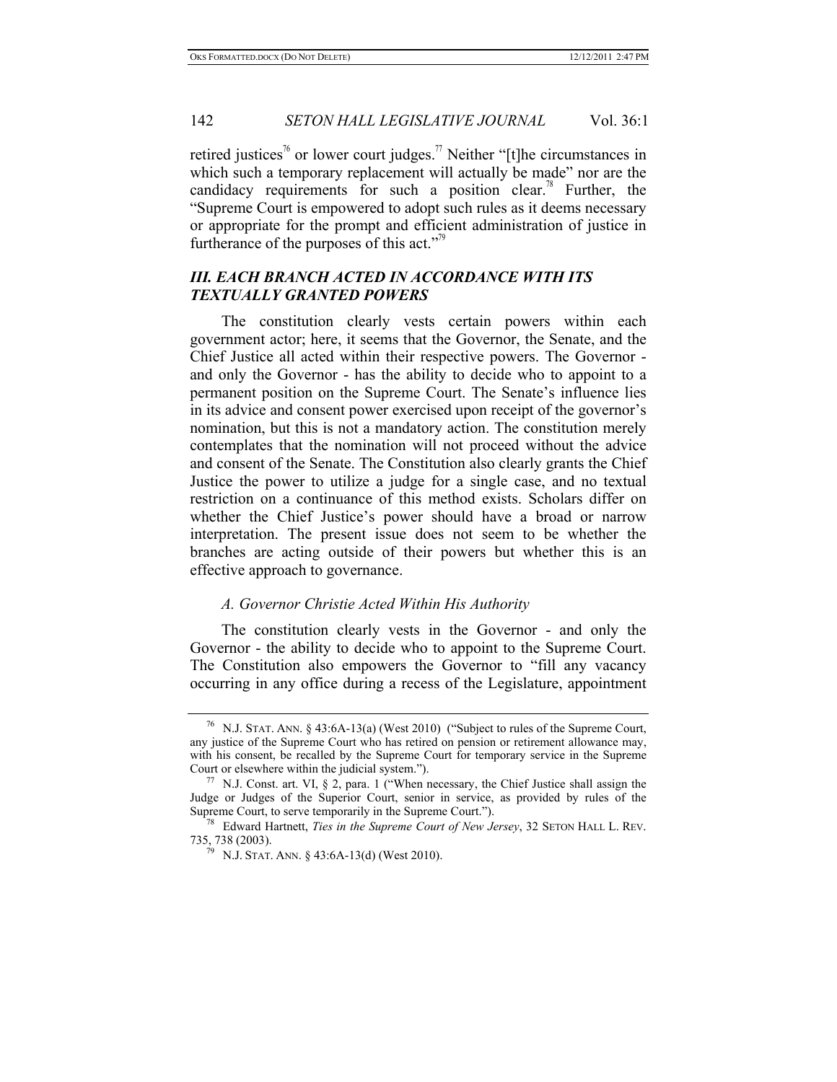retired iustices<sup>76</sup> or lower court judges.<sup>77</sup> Neither "[t]he circumstances in which such a temporary replacement will actually be made" nor are the candidacy requirements for such a position clear.<sup>78</sup> Further, the "Supreme Court is empowered to adopt such rules as it deems necessary or appropriate for the prompt and efficient administration of justice in furtherance of the purposes of this act." $\frac{1}{2}$ 

# *III. EACH BRANCH ACTED IN ACCORDANCE WITH ITS TEXTUALLY GRANTED POWERS*

The constitution clearly vests certain powers within each government actor; here, it seems that the Governor, the Senate, and the Chief Justice all acted within their respective powers. The Governor and only the Governor - has the ability to decide who to appoint to a permanent position on the Supreme Court. The Senate's influence lies in its advice and consent power exercised upon receipt of the governor's nomination, but this is not a mandatory action. The constitution merely contemplates that the nomination will not proceed without the advice and consent of the Senate. The Constitution also clearly grants the Chief Justice the power to utilize a judge for a single case, and no textual restriction on a continuance of this method exists. Scholars differ on whether the Chief Justice's power should have a broad or narrow interpretation. The present issue does not seem to be whether the branches are acting outside of their powers but whether this is an effective approach to governance.

### *A. Governor Christie Acted Within His Authority*

The constitution clearly vests in the Governor - and only the Governor - the ability to decide who to appoint to the Supreme Court. The Constitution also empowers the Governor to "fill any vacancy occurring in any office during a recess of the Legislature, appointment

<sup>76</sup> N.J. STAT. ANN. § 43:6A-13(a) (West 2010) ("Subject to rules of the Supreme Court, any justice of the Supreme Court who has retired on pension or retirement allowance may, with his consent, be recalled by the Supreme Court for temporary service in the Supreme Court or elsewhere within the judicial system.").<br><sup>77</sup> N.J. Const. art. VI, § 2, para. 1 ("When necessary, the Chief Justice shall assign the

Judge or Judges of the Superior Court, senior in service, as provided by rules of the Supreme Court, to serve temporarily in the Supreme Court."). 78 Edward Hartnett, *Ties in the Supreme Court of New Jersey*, 32 SETON HALL L. REV.

<sup>735, 738 (2003). 79</sup> N.J. STAT. ANN. § 43:6A-13(d) (West 2010).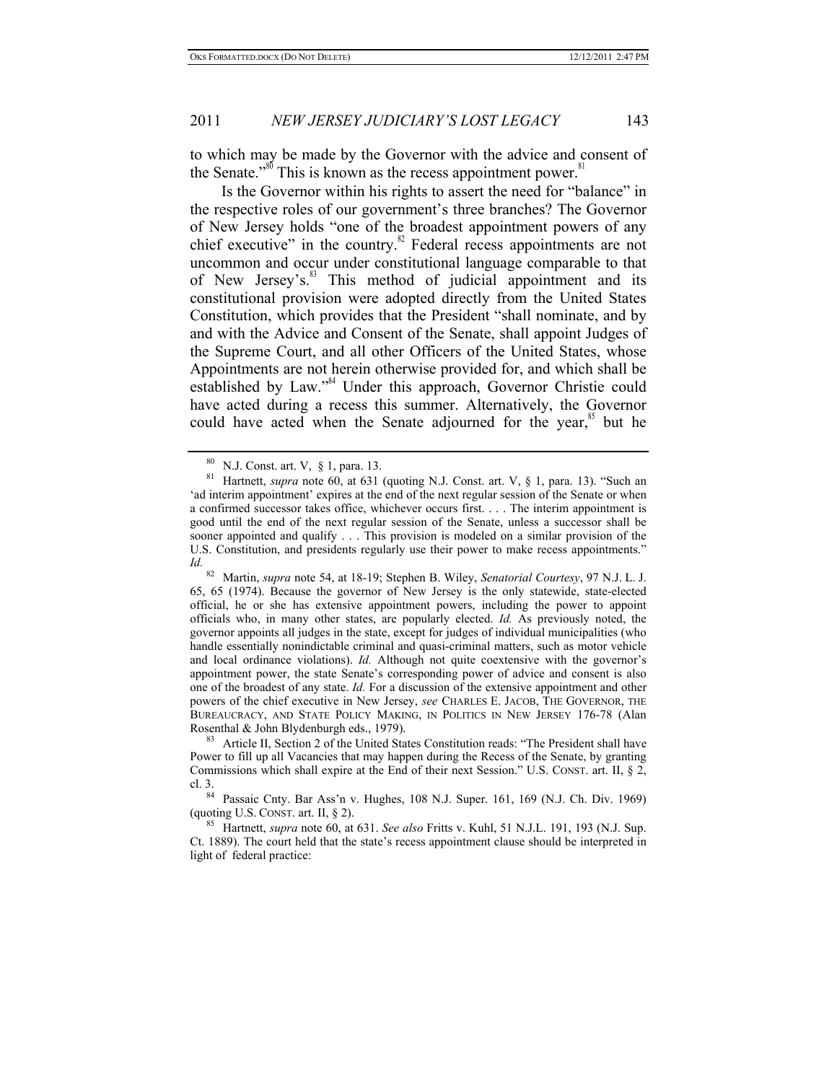to which may be made by the Governor with the advice and consent of the Senate."<sup>80</sup> This is known as the recess appointment power.<sup>8</sup>

Is the Governor within his rights to assert the need for "balance" in the respective roles of our government's three branches? The Governor of New Jersey holds "one of the broadest appointment powers of any chief executive" in the country.<sup>82</sup> Federal recess appointments are not uncommon and occur under constitutional language comparable to that of New Jersey's.<sup>83</sup> This method of judicial appointment and its constitutional provision were adopted directly from the United States Constitution, which provides that the President "shall nominate, and by and with the Advice and Consent of the Senate, shall appoint Judges of the Supreme Court, and all other Officers of the United States, whose Appointments are not herein otherwise provided for, and which shall be established by Law."<sup>84</sup> Under this approach, Governor Christie could have acted during a recess this summer. Alternatively, the Governor could have acted when the Senate adjourned for the year, $\frac{85}{5}$  but he

Power to fill up all Vacancies that may happen during the Recess of the Senate, by granting Commissions which shall expire at the End of their next Session." U.S. CONST. art. II, § 2,

cl. 3. 84 Passaic Cnty. Bar Ass'n v. Hughes, 108 N.J. Super. 161, 169 (N.J. Ch. Div. 1969)<br>(quoting U.S. CONST. art. II, § 2).

<sup>85</sup> Hartnett, *supra* note 60, at 631. *See also Fritts v. Kuhl, 51 N.J.L. 191, 193 (N.J. Sup.* Ct. 1889). The court held that the state's recess appointment clause should be interpreted in light of federal practice:

<sup>80</sup> N.J. Const. art. V, § 1, para. 13. 81 Hartnett, *supra* note 60, at 631 (quoting N.J. Const. art. V, § 1, para. 13). "Such an 'ad interim appointment' expires at the end of the next regular session of the Senate or when a confirmed successor takes office, whichever occurs first. . . . The interim appointment is good until the end of the next regular session of the Senate, unless a successor shall be sooner appointed and qualify . . . This provision is modeled on a similar provision of the U.S. Constitution, and presidents regularly use their power to make recess appointments." *Id.*

<sup>82</sup> Martin, *supra* note 54, at 18-19; Stephen B. Wiley, *Senatorial Courtesy*, 97 N.J. L. J. 65, 65 (1974). Because the governor of New Jersey is the only statewide, state-elected official, he or she has extensive appointment powers, including the power to appoint officials who, in many other states, are popularly elected. *Id.* As previously noted, the governor appoints all judges in the state, except for judges of individual municipalities (who handle essentially nonindictable criminal and quasi-criminal matters, such as motor vehicle and local ordinance violations). *Id.* Although not quite coextensive with the governor's appointment power, the state Senate's corresponding power of advice and consent is also one of the broadest of any state. *Id.* For a discussion of the extensive appointment and other powers of the chief executive in New Jersey, *see* CHARLES E. JACOB, THE GOVERNOR, THE BUREAUCRACY, AND STATE POLICY MAKING, IN POLITICS IN NEW JERSEY 176-78 (Alan Rosenthal & John Blydenburgh eds., 1979).<br><sup>83</sup> Article II, Section 2 of the United States Constitution reads: "The President shall have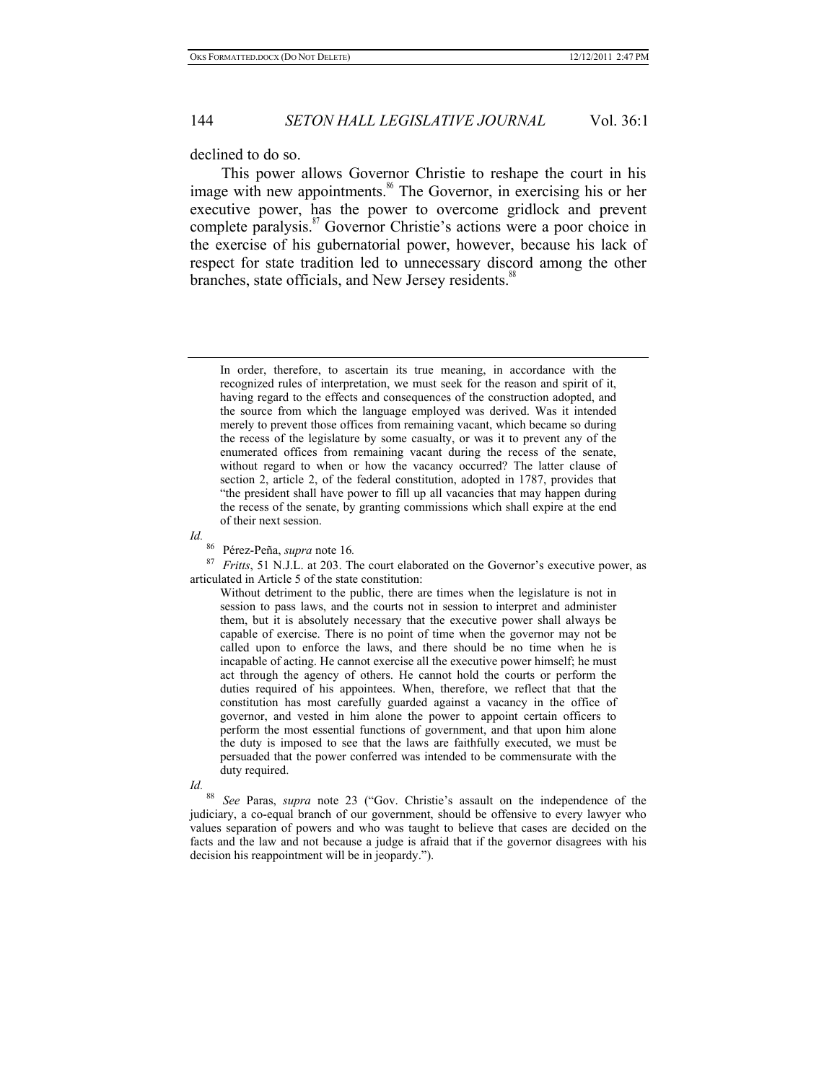declined to do so.

This power allows Governor Christie to reshape the court in his image with new appointments.<sup>86</sup> The Governor, in exercising his or her executive power, has the power to overcome gridlock and prevent complete paralysis.<sup>87</sup> Governor Christie's actions were a poor choice in the exercise of his gubernatorial power, however, because his lack of respect for state tradition led to unnecessary discord among the other branches, state officials, and New Jersey residents.<sup>88</sup>

*Id.*

<sup>86</sup> Pérez-Peña, *supra* note 16*.*

<sup>87</sup> *Fritts*, 51 N.J.L. at 203. The court elaborated on the Governor's executive power, as articulated in Article 5 of the state constitution:

Without detriment to the public, there are times when the legislature is not in session to pass laws, and the courts not in session to interpret and administer them, but it is absolutely necessary that the executive power shall always be capable of exercise. There is no point of time when the governor may not be called upon to enforce the laws, and there should be no time when he is incapable of acting. He cannot exercise all the executive power himself; he must act through the agency of others. He cannot hold the courts or perform the duties required of his appointees. When, therefore, we reflect that that the constitution has most carefully guarded against a vacancy in the office of governor, and vested in him alone the power to appoint certain officers to perform the most essential functions of government, and that upon him alone the duty is imposed to see that the laws are faithfully executed, we must be persuaded that the power conferred was intended to be commensurate with the duty required.

*Id.*

<sup>88</sup> *See* Paras, *supra* note 23 ("Gov. Christie's assault on the independence of the judiciary, a co-equal branch of our government, should be offensive to every lawyer who values separation of powers and who was taught to believe that cases are decided on the facts and the law and not because a judge is afraid that if the governor disagrees with his decision his reappointment will be in jeopardy.").

In order, therefore, to ascertain its true meaning, in accordance with the recognized rules of interpretation, we must seek for the reason and spirit of it, having regard to the effects and consequences of the construction adopted, and the source from which the language employed was derived. Was it intended merely to prevent those offices from remaining vacant, which became so during the recess of the legislature by some casualty, or was it to prevent any of the enumerated offices from remaining vacant during the recess of the senate, without regard to when or how the vacancy occurred? The latter clause of section 2, article 2, of the federal constitution, adopted in 1787, provides that "the president shall have power to fill up all vacancies that may happen during the recess of the senate, by granting commissions which shall expire at the end of their next session.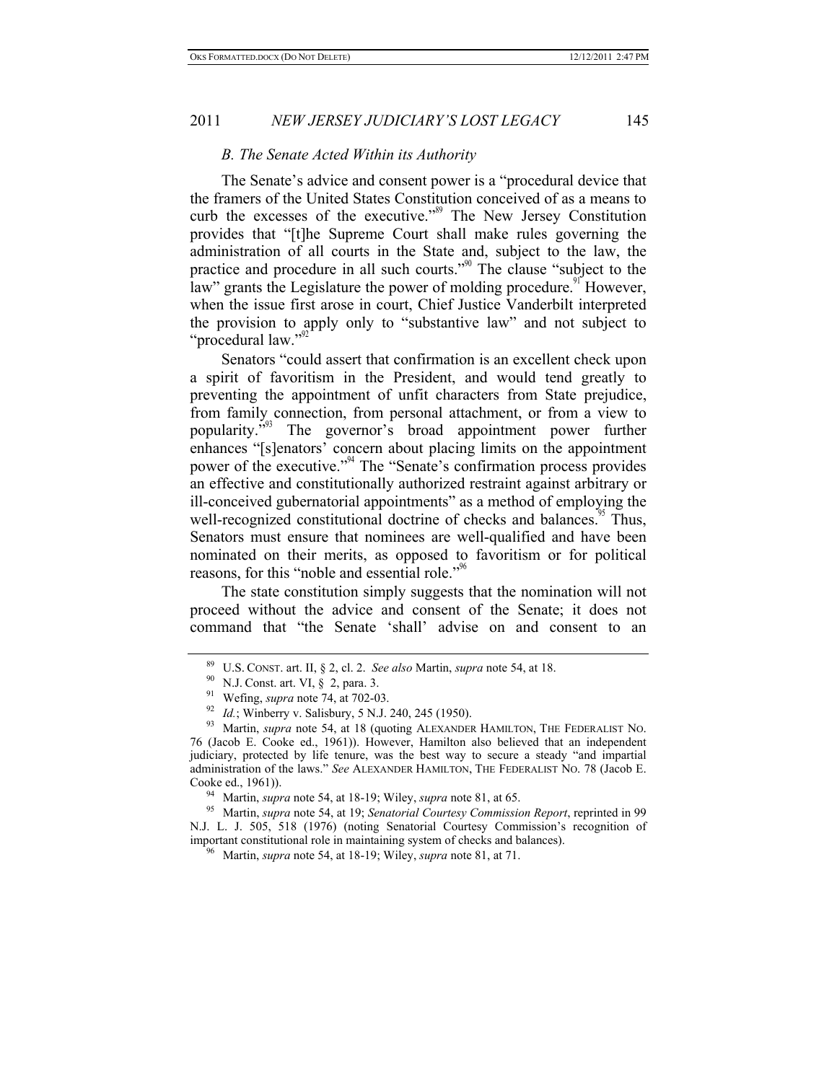#### *B. The Senate Acted Within its Authority*

The Senate's advice and consent power is a "procedural device that the framers of the United States Constitution conceived of as a means to curb the excesses of the executive."<sup>89</sup> The New Jersey Constitution provides that "[t]he Supreme Court shall make rules governing the administration of all courts in the State and, subject to the law, the practice and procedure in all such courts."<sup>90</sup> The clause "subject to the law" grants the Legislature the power of molding procedure.<sup>91</sup> However, when the issue first arose in court, Chief Justice Vanderbilt interpreted the provision to apply only to "substantive law" and not subject to "procedural law."<sup>92</sup>

Senators "could assert that confirmation is an excellent check upon a spirit of favoritism in the President, and would tend greatly to preventing the appointment of unfit characters from State prejudice, from family connection, from personal attachment, or from a view to popularity."<sup>93</sup> The governor's broad appointment power further enhances "[s]enators' concern about placing limits on the appointment power of the executive."<sup>94</sup> The "Senate's confirmation process provides an effective and constitutionally authorized restraint against arbitrary or ill-conceived gubernatorial appointments" as a method of employing the well-recognized constitutional doctrine of checks and balances.<sup>95</sup> Thus, Senators must ensure that nominees are well-qualified and have been nominated on their merits, as opposed to favoritism or for political reasons, for this "noble and essential role."<sup>96</sup>

The state constitution simply suggests that the nomination will not proceed without the advice and consent of the Senate; it does not command that "the Senate 'shall' advise on and consent to an

<sup>&</sup>lt;sup>89</sup> U.S. CONST. art. II, § 2, cl. 2. *See also* Martin, *supra* note 54, at 18.<br><sup>90</sup> N.J. Const. art. VI, § 2, para. 3.<br><sup>91</sup> Wefing, *supra* note 74, at 702-03.<br><sup>92</sup> Id.; Winberry v. Salisbury, 5 N.J. 240, 245 (1950).<br><sup>9</sup> 76 (Jacob E. Cooke ed., 1961)). However, Hamilton also believed that an independent judiciary, protected by life tenure, was the best way to secure a steady "and impartial administration of the laws." *See* ALEXANDER HAMILTON, THE FEDERALIST NO. 78 (Jacob E. Cooke ed., 1961)). 94 Martin, *supra* note 54, at 18-19; Wiley, *supra* note 81, at 65. 95 Martin, *supra* note 54, at 19; *Senatorial Courtesy Commission Report*, reprinted in 99

N.J. L. J. 505, 518 (1976) (noting Senatorial Courtesy Commission's recognition of important constitutional role in maintaining system of checks and balances). 96 Martin, *supra* note 54, at 18-19; Wiley, *supra* note 81, at 71.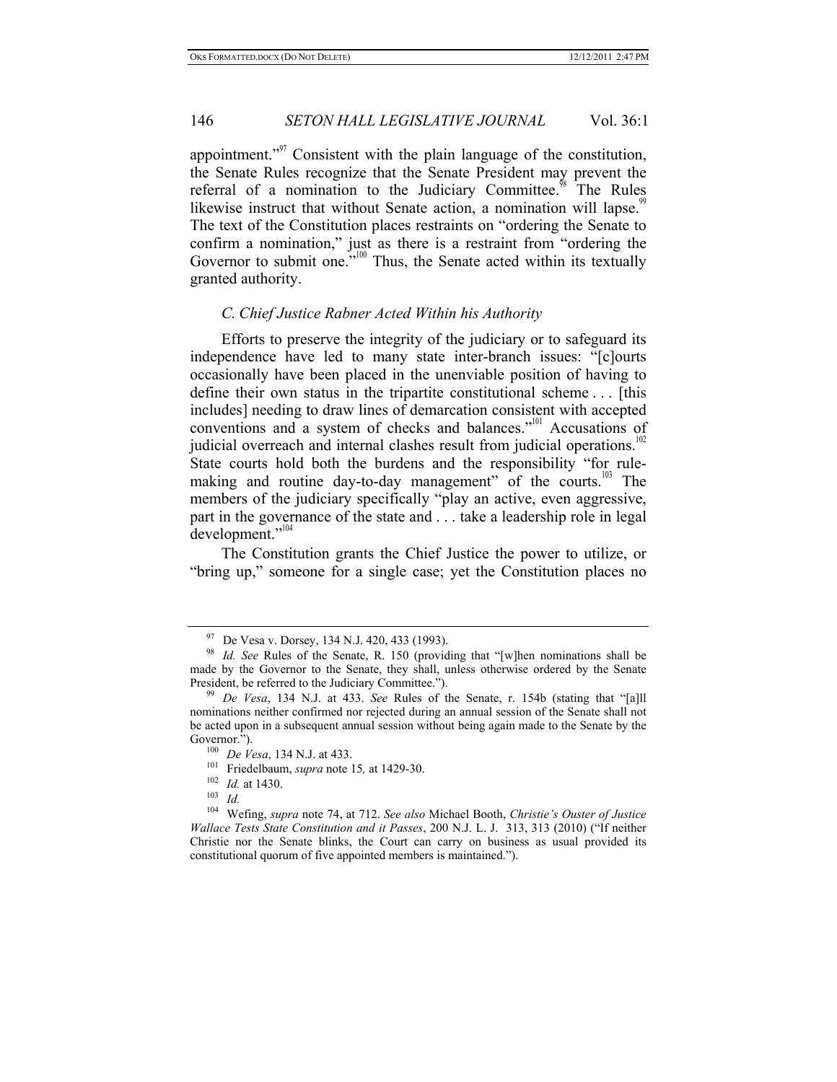appointment."<sup>97</sup> Consistent with the plain language of the constitution, the Senate Rules recognize that the Senate President may prevent the referral of a nomination to the Judiciary Committee.<sup>98</sup> The Rules likewise instruct that without Senate action, a nomination will lapse.<sup>99</sup> The text of the Constitution places restraints on "ordering the Senate to confirm a nomination," just as there is a restraint from "ordering the Governor to submit one."<sup>100</sup> Thus, the Senate acted within its textually granted authority.

#### *C. Chief Justice Rabner Acted Within his Authority*

Efforts to preserve the integrity of the judiciary or to safeguard its independence have led to many state inter-branch issues: "[c]ourts occasionally have been placed in the unenviable position of having to define their own status in the tripartite constitutional scheme . . . [this includes] needing to draw lines of demarcation consistent with accepted conventions and a system of checks and balances."<sup>101</sup> Accusations of judicial overreach and internal clashes result from judicial operations.<sup>102</sup> State courts hold both the burdens and the responsibility "for rulemaking and routine day-to-day management" of the courts.<sup>103</sup> The members of the judiciary specifically "play an active, even aggressive, part in the governance of the state and . . . take a leadership role in legal development."<sup>104</sup>

The Constitution grants the Chief Justice the power to utilize, or "bring up," someone for a single case; yet the Constitution places no

<sup>97</sup> De Vesa v. Dorsey, 134 N.J. 420, 433 (1993). 98 *Id. See* Rules of the Senate, R. 150 (providing that "[w]hen nominations shall be made by the Governor to the Senate, they shall, unless otherwise ordered by the Senate President, be referred to the Judiciary Committee."). 99 *De Vesa*, 134 N.J. at 433. *See* Rules of the Senate, r. 154b (stating that "[a]ll

nominations neither confirmed nor rejected during an annual session of the Senate shall not be acted upon in a subsequent annual session without being again made to the Senate by the

<sup>100</sup> *De Vesa*, 134 N.J. at 433.<br>
<sup>101</sup> Friedelbaum, *supra* note 15, at 1429-30.<br>
<sup>102</sup> *Id.* at 1430.<br>
<sup>103</sup> *Id* 

<sup>104</sup> Wefing, *supra* note 74, at 712. *See also* Michael Booth, *Christie's Ouster of Justice Wallace Tests State Constitution and it Passes*, 200 N.J. L. J. 313, 313 (2010) ("If neither Christie nor the Senate blinks, the Court can carry on business as usual provided its constitutional quorum of five appointed members is maintained.").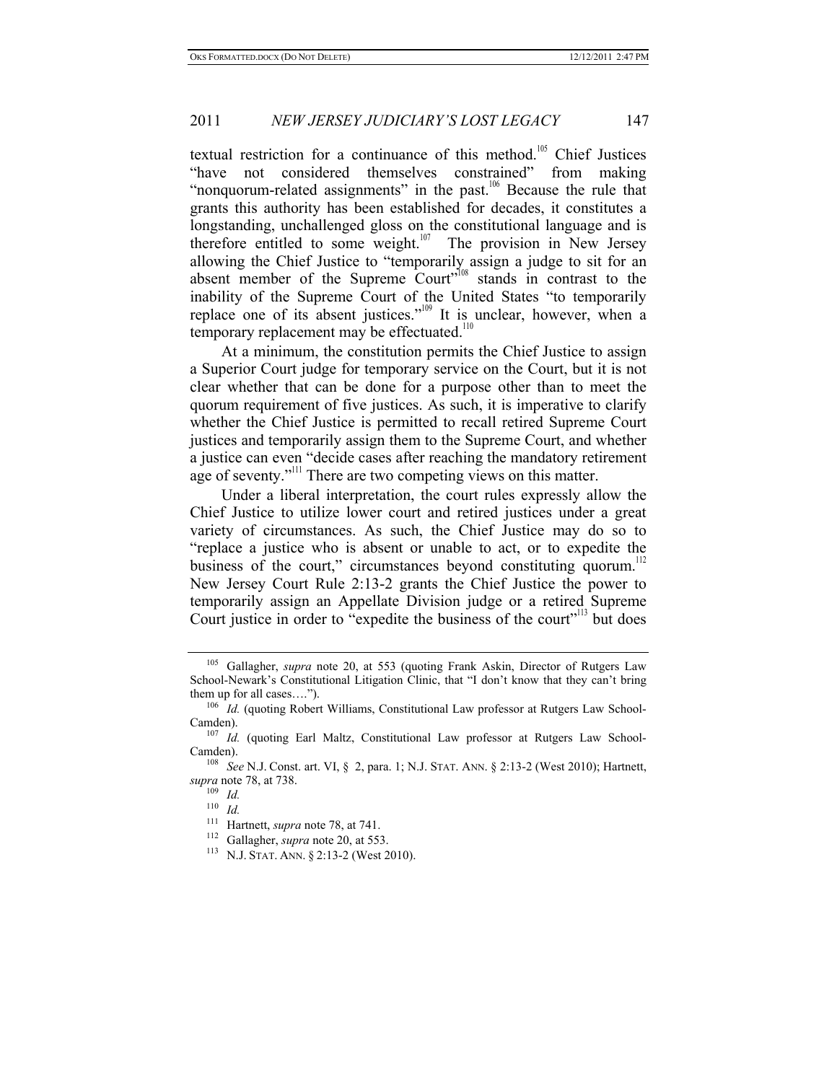textual restriction for a continuance of this method.<sup>105</sup> Chief Justices "have not considered themselves constrained" from making "nonquorum-related assignments" in the past.<sup>106</sup> Because the rule that grants this authority has been established for decades, it constitutes a longstanding, unchallenged gloss on the constitutional language and is therefore entitled to some weight.<sup>107</sup> The provision in New Jersey allowing the Chief Justice to "temporarily assign a judge to sit for an absent member of the Supreme  $\text{Count}^{\cdot,108}$  stands in contrast to the inability of the Supreme Court of the United States "to temporarily replace one of its absent justices."<sup>109</sup> It is unclear, however, when a temporary replacement may be effectuated.<sup>110</sup>

At a minimum, the constitution permits the Chief Justice to assign a Superior Court judge for temporary service on the Court, but it is not clear whether that can be done for a purpose other than to meet the quorum requirement of five justices. As such, it is imperative to clarify whether the Chief Justice is permitted to recall retired Supreme Court justices and temporarily assign them to the Supreme Court, and whether a justice can even "decide cases after reaching the mandatory retirement age of seventy."<sup>111</sup> There are two competing views on this matter.

Under a liberal interpretation, the court rules expressly allow the Chief Justice to utilize lower court and retired justices under a great variety of circumstances. As such, the Chief Justice may do so to "replace a justice who is absent or unable to act, or to expedite the business of the court," circumstances beyond constituting quorum.<sup>11</sup> New Jersey Court Rule 2:13-2 grants the Chief Justice the power to temporarily assign an Appellate Division judge or a retired Supreme Court justice in order to "expedite the business of the court"<sup>113</sup> but does

<sup>105</sup> Gallagher, *supra* note 20, at 553 (quoting Frank Askin, Director of Rutgers Law School-Newark's Constitutional Litigation Clinic, that "I don't know that they can't bring them up for all cases....").<br><sup>106</sup> *Id.* (quoting Robert Williams, Constitutional Law professor at Rutgers Law School-

Camden). 107 *Id.* (quoting Earl Maltz, Constitutional Law professor at Rutgers Law School-

Camden). 108 *See* N.J. Const. art. VI, § 2, para. 1; N.J. STAT. ANN. § 2:13-2 (West 2010); Hartnett,

*supra* note 78, at 738. 109 *Id.*

<sup>&</sup>lt;sup>110</sup> *Id.*<br><sup>111</sup> Hartnett, *supra* note 78, at 741.

<sup>&</sup>lt;sup>112</sup> Gallagher, *supra* note 20, at 553.<br><sup>113</sup> N.J. STAT. ANN. § 2:13-2 (West 2010).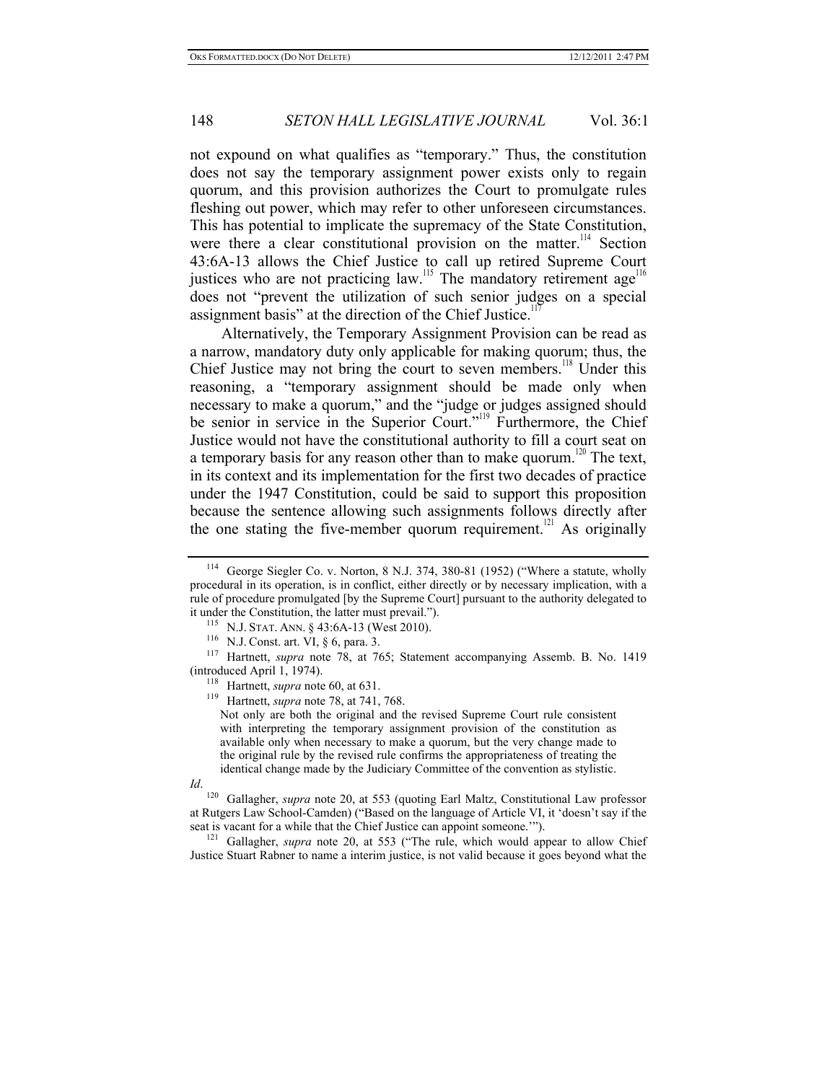not expound on what qualifies as "temporary." Thus, the constitution does not say the temporary assignment power exists only to regain quorum, and this provision authorizes the Court to promulgate rules fleshing out power, which may refer to other unforeseen circumstances. This has potential to implicate the supremacy of the State Constitution, were there a clear constitutional provision on the matter.<sup>114</sup> Section 43:6A-13 allows the Chief Justice to call up retired Supreme Court justices who are not practicing law.<sup>115</sup> The mandatory retirement age<sup>116</sup> does not "prevent the utilization of such senior judges on a special assignment basis" at the direction of the Chief Justice.<sup>1</sup>

Alternatively, the Temporary Assignment Provision can be read as a narrow, mandatory duty only applicable for making quorum; thus, the Chief Justice may not bring the court to seven members.<sup>118</sup> Under this reasoning, a "temporary assignment should be made only when necessary to make a quorum," and the "judge or judges assigned should be senior in service in the Superior Court."<sup>119</sup> Furthermore, the Chief Justice would not have the constitutional authority to fill a court seat on a temporary basis for any reason other than to make quorum.<sup>120</sup> The text, in its context and its implementation for the first two decades of practice under the 1947 Constitution, could be said to support this proposition because the sentence allowing such assignments follows directly after the one stating the five-member quorum requirement.<sup>121</sup> As originally

it under the Constitution, the latter must prevail.").<br>
<sup>115</sup> N.J. STAT. ANN. § 43:6A-13 (West 2010).<br>
<sup>116</sup> N.J. Const. art. VI, § 6, para. 3.<br>
<sup>117</sup> Hartnett, *supra* note 78, at 765; Statement accompanying Assemb. B. No

<sup>118</sup> Hartnett, *supra* note 60, at 631.<br><sup>119</sup> Hartnett, *supra* note 78, at 741, 768.

Not only are both the original and the revised Supreme Court rule consistent with interpreting the temporary assignment provision of the constitution as available only when necessary to make a quorum, but the very change made to the original rule by the revised rule confirms the appropriateness of treating the identical change made by the Judiciary Committee of the convention as stylistic.

*Id*.

<sup>120</sup> Gallagher, *supra* note 20, at 553 (quoting Earl Maltz, Constitutional Law professor at Rutgers Law School-Camden) ("Based on the language of Article VI, it 'doesn't say if the seat is vacant for a while that the Chief Justice can appoint someone."").<br><sup>121</sup> Gallagher, *supra* note 20, at 553 ("The rule, which would appear to allow Chief

Justice Stuart Rabner to name a interim justice, is not valid because it goes beyond what the

<sup>114</sup> George Siegler Co. v. Norton, 8 N.J. 374, 380-81 (1952) ("Where a statute, wholly procedural in its operation, is in conflict, either directly or by necessary implication, with a rule of procedure promulgated [by the Supreme Court] pursuant to the authority delegated to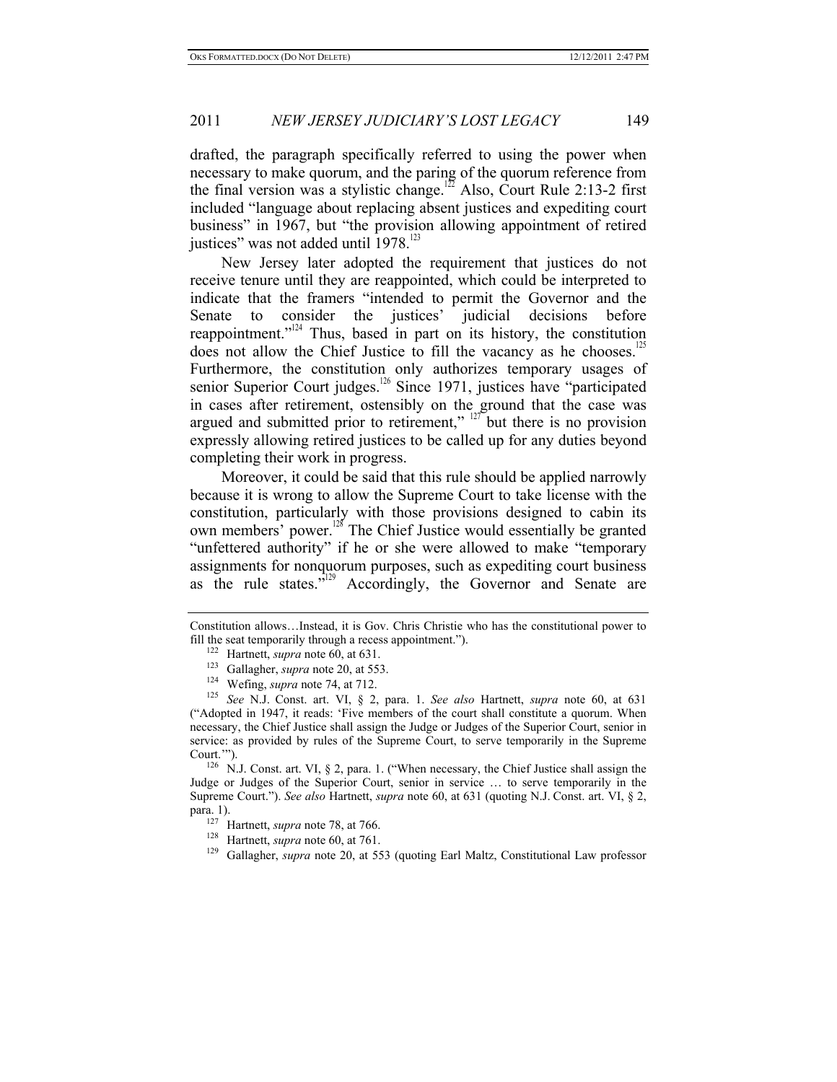drafted, the paragraph specifically referred to using the power when necessary to make quorum, and the paring of the quorum reference from the final version was a stylistic change.<sup>122</sup> Also, Court Rule 2:13-2 first included "language about replacing absent justices and expediting court business" in 1967, but "the provision allowing appointment of retired justices" was not added until  $1978$ <sup>123</sup>

New Jersey later adopted the requirement that justices do not receive tenure until they are reappointed, which could be interpreted to indicate that the framers "intended to permit the Governor and the Senate to consider the justices' judicial decisions before reappointment."<sup>124</sup> Thus, based in part on its history, the constitution does not allow the Chief Justice to fill the vacancy as he chooses.<sup>125</sup> Furthermore, the constitution only authorizes temporary usages of senior Superior Court judges.<sup>126</sup> Since 1971, justices have "participated in cases after retirement, ostensibly on the ground that the case was argued and submitted prior to retirement,"  $127$  but there is no provision expressly allowing retired justices to be called up for any duties beyond completing their work in progress.

Moreover, it could be said that this rule should be applied narrowly because it is wrong to allow the Supreme Court to take license with the constitution, particularly with those provisions designed to cabin its own members' power.<sup>128</sup> The Chief Justice would essentially be granted "unfettered authority" if he or she were allowed to make "temporary assignments for nonquorum purposes, such as expediting court business as the rule states. $v^{129}$  Accordingly, the Governor and Senate are

Constitution allows…Instead, it is Gov. Chris Christie who has the constitutional power to fill the seat temporarily through a recess appointment.").<br>
<sup>122</sup> Hartnett, *supra* note 60, at 631.<br>
<sup>123</sup> Gallagher, *supra* note 20, at 553.<br>
<sup>124</sup> Wefing, *supra* note 74, at 712.<br>
<sup>125</sup> See N.J. Const. art. VI, § 2,

<sup>(&</sup>quot;Adopted in 1947, it reads: 'Five members of the court shall constitute a quorum. When necessary, the Chief Justice shall assign the Judge or Judges of the Superior Court, senior in service: as provided by rules of the Supreme Court, to serve temporarily in the Supreme Court.'"). 126 N.J. Const. art. VI, § 2, para. 1. ("When necessary, the Chief Justice shall assign the

Judge or Judges of the Superior Court, senior in service … to serve temporarily in the Supreme Court."). *See also* Hartnett, *supra* note 60, at 631 (quoting N.J. Const. art. VI, § 2, para. 1).<br><sup>127</sup> Hartnett, *supra* note 78, at 766.<br><sup>128</sup> Hartnett, *supra* note 60, at 761.<br><sup>129</sup> Gallagher, *supra* note 20, at 553 (quoting Earl Maltz, Constitutional Law professor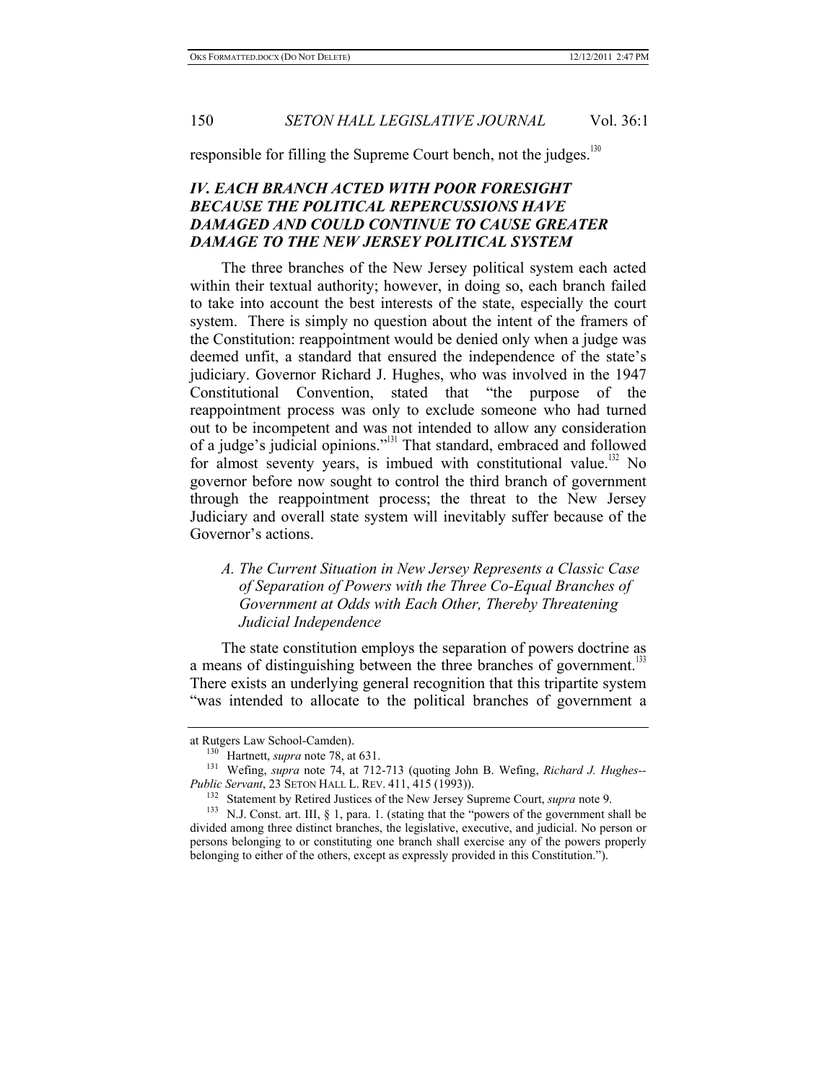responsible for filling the Supreme Court bench, not the judges.<sup>130</sup>

# *IV. EACH BRANCH ACTED WITH POOR FORESIGHT BECAUSE THE POLITICAL REPERCUSSIONS HAVE DAMAGED AND COULD CONTINUE TO CAUSE GREATER DAMAGE TO THE NEW JERSEY POLITICAL SYSTEM*

The three branches of the New Jersey political system each acted within their textual authority; however, in doing so, each branch failed to take into account the best interests of the state, especially the court system. There is simply no question about the intent of the framers of the Constitution: reappointment would be denied only when a judge was deemed unfit, a standard that ensured the independence of the state's judiciary. Governor Richard J. Hughes, who was involved in the 1947 Constitutional Convention, stated that "the purpose of the reappointment process was only to exclude someone who had turned out to be incompetent and was not intended to allow any consideration of a judge's judicial opinions."131 That standard, embraced and followed for almost seventy years, is imbued with constitutional value.<sup>132</sup> No governor before now sought to control the third branch of government through the reappointment process; the threat to the New Jersey Judiciary and overall state system will inevitably suffer because of the Governor's actions.

# *A. The Current Situation in New Jersey Represents a Classic Case of Separation of Powers with the Three Co-Equal Branches of Government at Odds with Each Other, Thereby Threatening Judicial Independence*

The state constitution employs the separation of powers doctrine as a means of distinguishing between the three branches of government.<sup>133</sup> There exists an underlying general recognition that this tripartite system "was intended to allocate to the political branches of government a

at Rutgers Law School-Camden).<br>
<sup>130</sup> Hartnett, *supra* note 78, at 631.<br>
<sup>131</sup> Wefing, *supra* note 74, at 712-713 (quoting John B. Wefing, *Richard J. Hughes--*<br> *Public Servant*, 23 SETON HALL L. REV. 411, 415 (1993)).

<sup>&</sup>lt;sup>132</sup> Statement by Retired Justices of the New Jersey Supreme Court, *supra* note 9.<br><sup>133</sup> N.J. Const. art. III, § 1, para. 1. (stating that the "powers of the government shall be divided among three distinct branches, the legislative, executive, and judicial. No person or persons belonging to or constituting one branch shall exercise any of the powers properly belonging to either of the others, except as expressly provided in this Constitution.").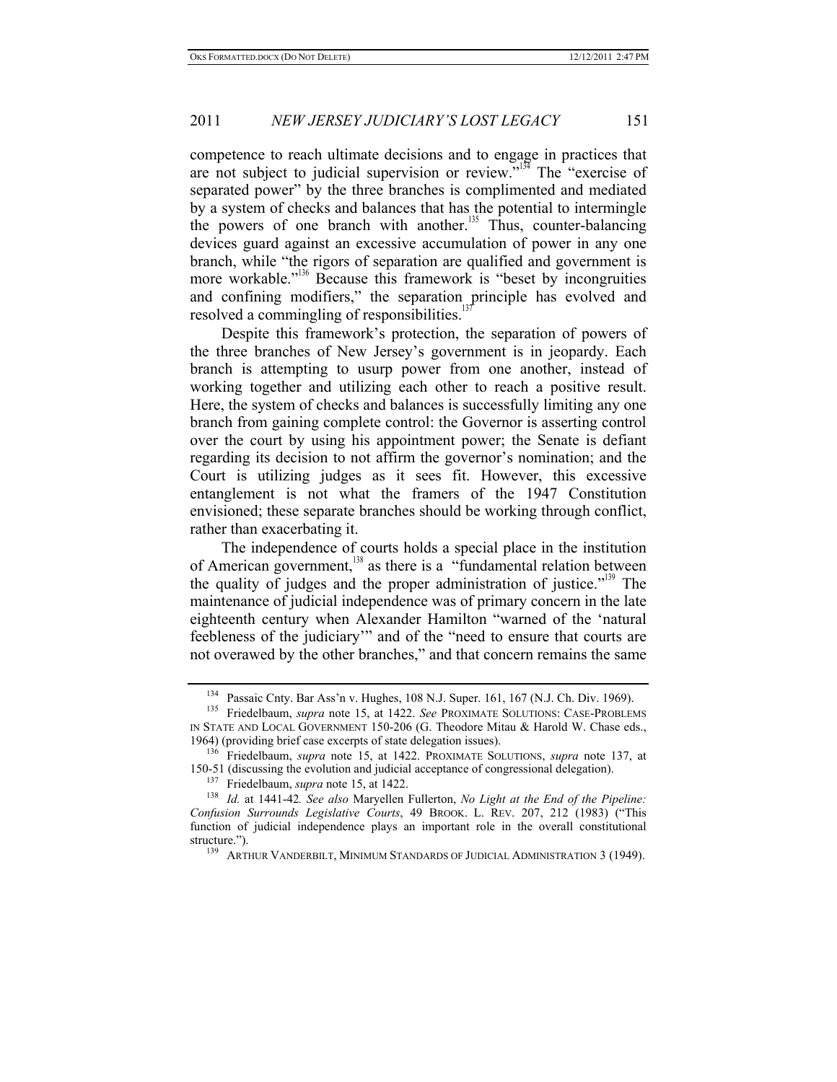competence to reach ultimate decisions and to engage in practices that are not subject to judicial supervision or review."<sup>134</sup> The "exercise of separated power" by the three branches is complimented and mediated by a system of checks and balances that has the potential to intermingle the powers of one branch with another.<sup>135</sup> Thus, counter-balancing devices guard against an excessive accumulation of power in any one branch, while "the rigors of separation are qualified and government is more workable."<sup>136</sup> Because this framework is "beset by incongruities and confining modifiers," the separation principle has evolved and resolved a commingling of responsibilities.<sup>1</sup>

Despite this framework's protection, the separation of powers of the three branches of New Jersey's government is in jeopardy. Each branch is attempting to usurp power from one another, instead of working together and utilizing each other to reach a positive result. Here, the system of checks and balances is successfully limiting any one branch from gaining complete control: the Governor is asserting control over the court by using his appointment power; the Senate is defiant regarding its decision to not affirm the governor's nomination; and the Court is utilizing judges as it sees fit. However, this excessive entanglement is not what the framers of the 1947 Constitution envisioned; these separate branches should be working through conflict, rather than exacerbating it.

The independence of courts holds a special place in the institution of American government, $138$  as there is a "fundamental relation between the quality of judges and the proper administration of justice.<sup> $5139$ </sup> The maintenance of judicial independence was of primary concern in the late eighteenth century when Alexander Hamilton "warned of the 'natural feebleness of the judiciary'" and of the "need to ensure that courts are not overawed by the other branches," and that concern remains the same

<sup>134</sup> Passaic Cnty. Bar Ass'n v. Hughes, 108 N.J. Super. 161, 167 (N.J. Ch. Div. 1969). 135 Friedelbaum, *supra* note 15, at 1422. *See* PROXIMATE SOLUTIONS: CASE-PROBLEMS

IN STATE AND LOCAL GOVERNMENT 150-206 (G. Theodore Mitau & Harold W. Chase eds.,

<sup>1964) (</sup>providing brief case excerpts of state delegation issues). 136 Friedelbaum, *supra* note 15, at 1422. PROXIMATE SOLUTIONS, *supra* note 137, at

<sup>&</sup>lt;sup>137</sup> Friedelbaum, *supra* note 15, at 1422.<br><sup>138</sup> *Id.* at 1441-42. *See also* Maryellen Fullerton, *No Light at the End of the Pipeline: Confusion Surrounds Legislative Courts*, 49 BROOK. L. REV. 207, 212 (1983) ("This function of judicial independence plays an important role in the overall constitutional structure."). 139 ARTHUR VANDERBILT, MINIMUM STANDARDS OF JUDICIAL ADMINISTRATION 3 (1949).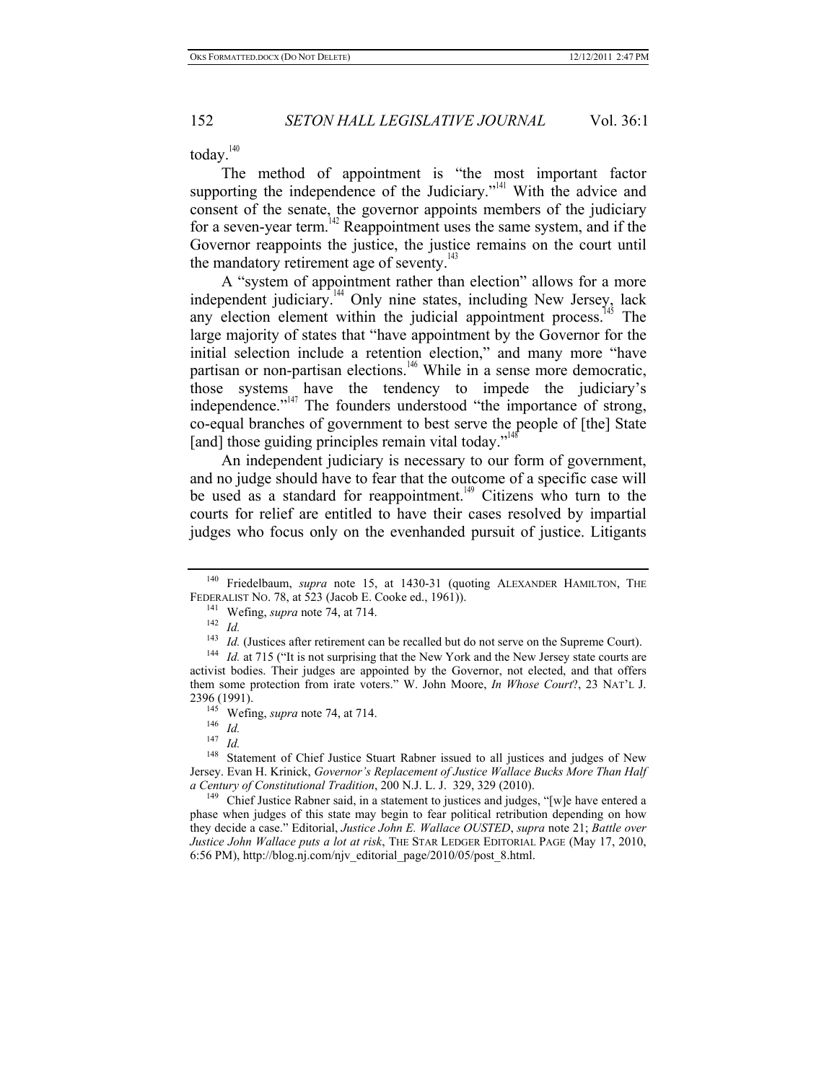today.<sup>140</sup>

The method of appointment is "the most important factor supporting the independence of the Judiciary."<sup>141</sup> With the advice and consent of the senate, the governor appoints members of the judiciary for a seven-year term.<sup>142</sup> Reappointment uses the same system, and if the Governor reappoints the justice, the justice remains on the court until the mandatory retirement age of seventy.<sup>143</sup>

A "system of appointment rather than election" allows for a more independent judiciary.<sup>144</sup> Only nine states, including New Jersey, lack any election element within the judicial appointment process.<sup>145</sup> The large majority of states that "have appointment by the Governor for the initial selection include a retention election," and many more "have partisan or non-partisan elections.<sup>146</sup> While in a sense more democratic, those systems have the tendency to impede the judiciary's independence." $147$  The founders understood "the importance of strong, co-equal branches of government to best serve the people of [the] State [and] those guiding principles remain vital today."

An independent judiciary is necessary to our form of government, and no judge should have to fear that the outcome of a specific case will be used as a standard for reappointment.<sup>149</sup> Citizens who turn to the courts for relief are entitled to have their cases resolved by impartial judges who focus only on the evenhanded pursuit of justice. Litigants

<sup>147</sup> *Id.*

<sup>140</sup> Friedelbaum, *supra* note 15, at 1430-31 (quoting ALEXANDER HAMILTON, THE FEDERALIST NO. 78, at 523 (Jacob E. Cooke ed., 1961)).<br><sup>141</sup> Wefing, *supra* note 74, at 714.<br><sup>142</sup> *Id.*<br><sup>143</sup> *Id.* (Justices after retirement can be recalled but do not serve on the Supreme Court).

<sup>&</sup>lt;sup>144</sup> *Id.* at 715 ("It is not surprising that the New York and the New Jersey state courts are activist bodies. Their judges are appointed by the Governor, not elected, and that offers them some protection from irate voters." W. John Moore, *In Whose Court*?, 23 NAT'L J. 2396 (1991). 145 Wefing, *supra* note 74, at 714. 146 *Id.*

<sup>&</sup>lt;sup>148</sup> Statement of Chief Justice Stuart Rabner issued to all justices and judges of New Jersey. Evan H. Krinick, *Governor's Replacement of Justice Wallace Bucks More Than Half a Century of Constitutional Tradition*, 200 N.J. L. J. 329, 329 (2010).<br><sup>149</sup> Chief Justice Rabner said, in a statement to justices and judges, "[w]e have entered a

phase when judges of this state may begin to fear political retribution depending on how they decide a case." Editorial, *Justice John E. Wallace OUSTED*, *supra* note 21; *Battle over Justice John Wallace puts a lot at risk*, THE STAR LEDGER EDITORIAL PAGE (May 17, 2010, 6:56 PM), http://blog.nj.com/njv\_editorial\_page/2010/05/post\_8.html.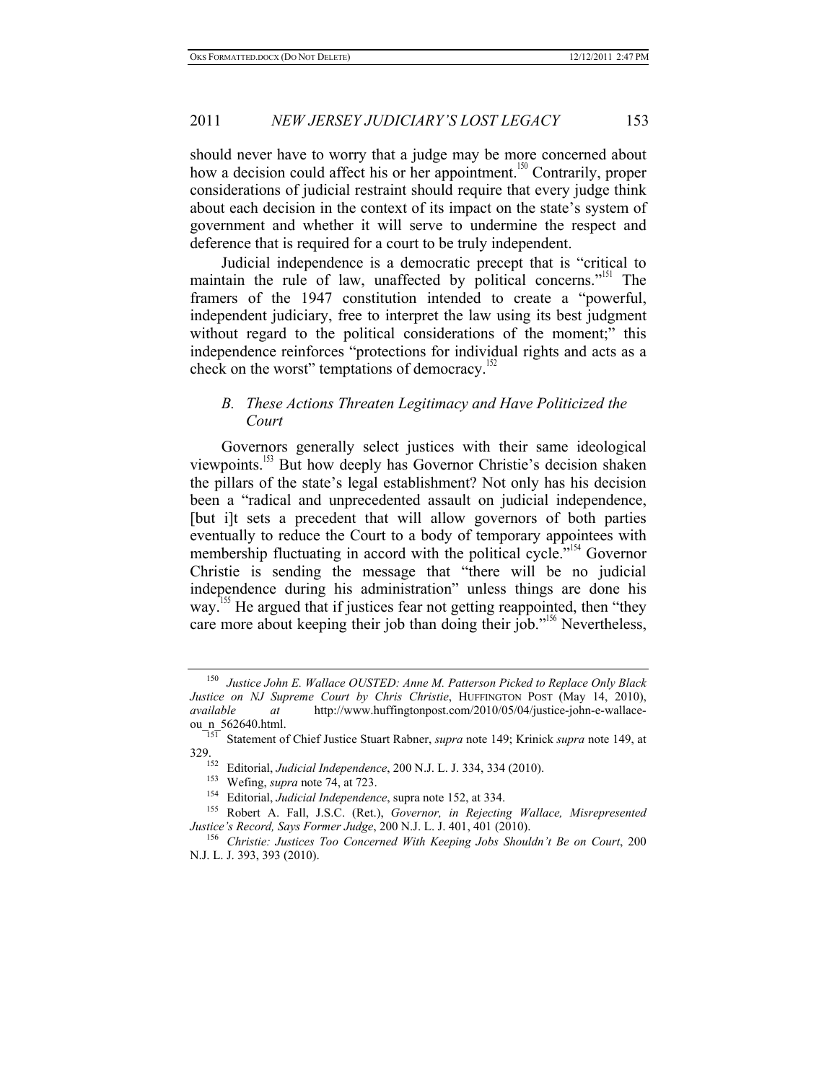should never have to worry that a judge may be more concerned about how a decision could affect his or her appointment.<sup>150</sup> Contrarily, proper considerations of judicial restraint should require that every judge think about each decision in the context of its impact on the state's system of government and whether it will serve to undermine the respect and deference that is required for a court to be truly independent.

Judicial independence is a democratic precept that is "critical to maintain the rule of law, unaffected by political concerns."<sup>151</sup> The framers of the 1947 constitution intended to create a "powerful, independent judiciary, free to interpret the law using its best judgment without regard to the political considerations of the moment;" this independence reinforces "protections for individual rights and acts as a check on the worst" temptations of democracy. $152$ 

# *B. These Actions Threaten Legitimacy and Have Politicized the Court*

Governors generally select justices with their same ideological viewpoints.<sup>153</sup> But how deeply has Governor Christie's decision shaken the pillars of the state's legal establishment? Not only has his decision been a "radical and unprecedented assault on judicial independence, [but i]t sets a precedent that will allow governors of both parties eventually to reduce the Court to a body of temporary appointees with membership fluctuating in accord with the political cycle."<sup>154</sup> Governor Christie is sending the message that "there will be no judicial independence during his administration" unless things are done his way.<sup>155</sup> He argued that if justices fear not getting reappointed, then "they care more about keeping their job than doing their job."<sup>156</sup> Nevertheless,

<sup>150</sup> *Justice John E. Wallace OUSTED: Anne M. Patterson Picked to Replace Only Black Justice on NJ Supreme Court by Chris Christie*, HUFFINGTON POST (May 14, 2010), *available at* http://www.huffingtonpost.com/2010/05/04/justice-john-e-wallace-

ou\_n\_562640.html. 151 Statement of Chief Justice Stuart Rabner, *supra* note 149; Krinick *supra* note 149, at 329.<br>
<sup>152</sup> Editorial, *Judicial Independence*, 200 N.J. L. J. 334, 334 (2010).<br>
<sup>153</sup> Wefing, *supra* note 74, at 723.<br>
<sup>154</sup> Editorial, *Judicial Independence*, supra note 152, at 334.<br>
<sup>155</sup> Robert A. Fall, J.S.C. (Ret.

*Justice's Record, Says Former Judge*, 200 N.J. L. J. 401, 401 (2010). 156 *Christie: Justices Too Concerned With Keeping Jobs Shouldn't Be on Court*, 200

N.J. L. J. 393, 393 (2010).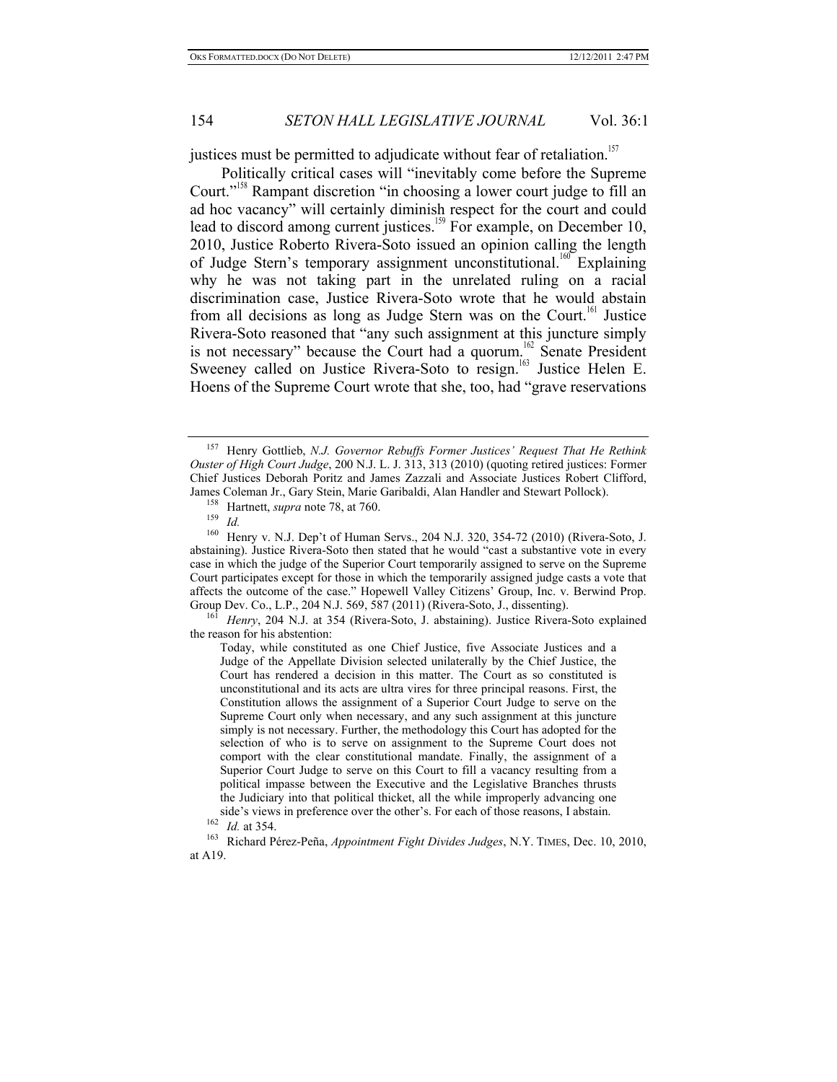justices must be permitted to adjudicate without fear of retaliation.<sup>157</sup>

Politically critical cases will "inevitably come before the Supreme Court."<sup>158</sup> Rampant discretion "in choosing a lower court judge to fill an ad hoc vacancy" will certainly diminish respect for the court and could lead to discord among current justices.<sup>159</sup> For example, on December 10, 2010, Justice Roberto Rivera-Soto issued an opinion calling the length of Judge Stern's temporary assignment unconstitutional.<sup>160</sup> Explaining why he was not taking part in the unrelated ruling on a racial discrimination case, Justice Rivera-Soto wrote that he would abstain from all decisions as long as Judge Stern was on the Court.<sup>161</sup> Justice Rivera-Soto reasoned that "any such assignment at this juncture simply is not necessary" because the Court had a quorum.<sup>162</sup> Senate President Sweeney called on Justice Rivera-Soto to resign.<sup>163</sup> Justice Helen E. Hoens of the Supreme Court wrote that she, too, had "grave reservations

the reason for his abstention:

Today, while constituted as one Chief Justice, five Associate Justices and a Judge of the Appellate Division selected unilaterally by the Chief Justice, the Court has rendered a decision in this matter. The Court as so constituted is unconstitutional and its acts are ultra vires for three principal reasons. First, the Constitution allows the assignment of a Superior Court Judge to serve on the Supreme Court only when necessary, and any such assignment at this juncture simply is not necessary. Further, the methodology this Court has adopted for the selection of who is to serve on assignment to the Supreme Court does not comport with the clear constitutional mandate. Finally, the assignment of a Superior Court Judge to serve on this Court to fill a vacancy resulting from a political impasse between the Executive and the Legislative Branches thrusts the Judiciary into that political thicket, all the while improperly advancing one side's views in preference over the other's. For each of those reasons, I abstain. 162 *Id.* at 354. 163 Richard Pérez-Peña, *Appointment Fight Divides Judges*, N.Y. TIMES, Dec. 10, 2010,

at A19.

<sup>157</sup> Henry Gottlieb, *N.J. Governor Rebuffs Former Justices' Request That He Rethink Ouster of High Court Judge*, 200 N.J. L. J. 313, 313 (2010) (quoting retired justices: Former Chief Justices Deborah Poritz and James Zazzali and Associate Justices Robert Clifford, James Coleman Jr., Gary Stein, Marie Garibaldi, Alan Handler and Stewart Pollock).<br>
<sup>158</sup> Hartnett, *supra* note 78, at 760.<br>
<sup>159</sup> *Id.*<br>
<sup>160</sup> Henry v N I Den't of Human Servs 204 N I 320, 354-72 (2010) (Rivera-

Henry v. N.J. Dep't of Human Servs., 204 N.J. 320, 354-72 (2010) (Rivera-Soto, J. abstaining). Justice Rivera-Soto then stated that he would "cast a substantive vote in every case in which the judge of the Superior Court temporarily assigned to serve on the Supreme Court participates except for those in which the temporarily assigned judge casts a vote that affects the outcome of the case." Hopewell Valley Citizens' Group, Inc. v. Berwind Prop. Group Dev. Co., L.P., 204 N.J. 569, 587 (2011) (Rivera-Soto, J., dissenting). 161 *Henry*, 204 N.J. at 354 (Rivera-Soto, J. abstaining). Justice Rivera-Soto explained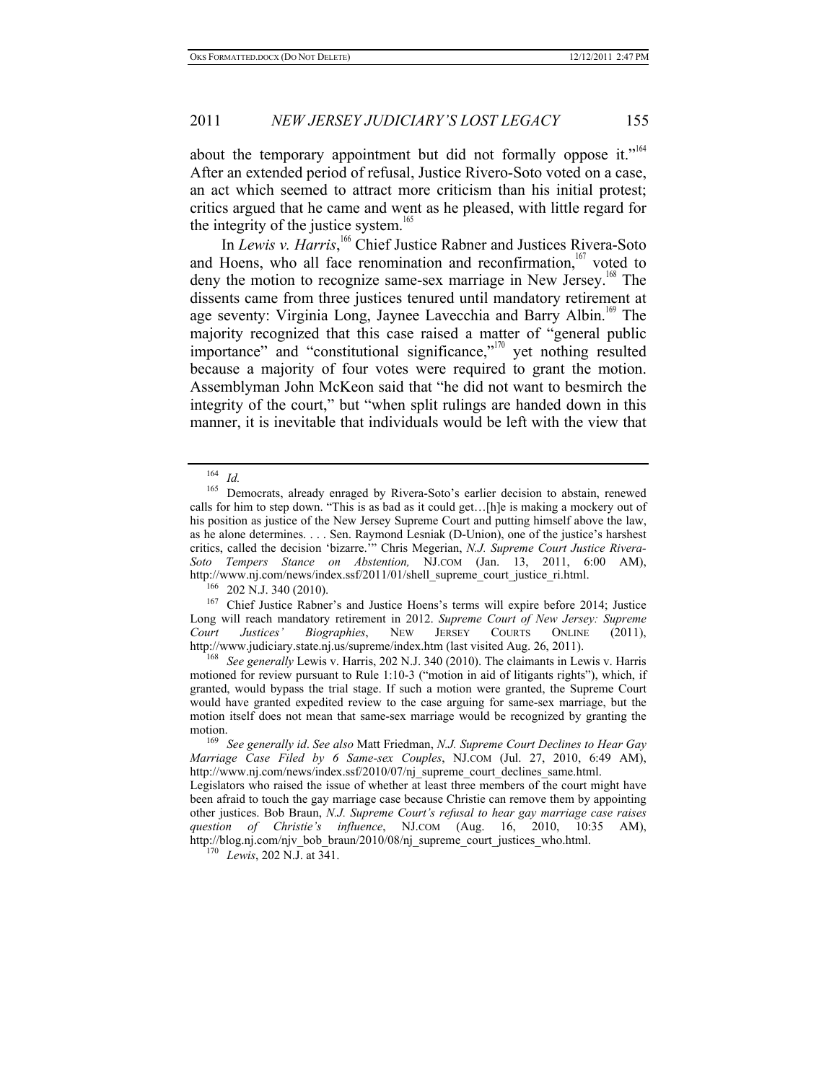about the temporary appointment but did not formally oppose it."<sup>164</sup> After an extended period of refusal, Justice Rivero-Soto voted on a case, an act which seemed to attract more criticism than his initial protest; critics argued that he came and went as he pleased, with little regard for the integrity of the justice system.<sup>165</sup>

In *Lewis v. Harris*,<sup>166</sup> Chief Justice Rabner and Justices Rivera-Soto and Hoens, who all face renomination and reconfirmation, $167$  voted to deny the motion to recognize same-sex marriage in New Jersey.<sup>168</sup> The dissents came from three justices tenured until mandatory retirement at age seventy: Virginia Long, Jaynee Lavecchia and Barry Albin.<sup>169</sup> The majority recognized that this case raised a matter of "general public importance" and "constitutional significance,"<sup>170</sup> yet nothing resulted because a majority of four votes were required to grant the motion. Assemblyman John McKeon said that "he did not want to besmirch the integrity of the court," but "when split rulings are handed down in this manner, it is inevitable that individuals would be left with the view that

 $\frac{164}{165}$  *Id.* 

Democrats, already enraged by Rivera-Soto's earlier decision to abstain, renewed calls for him to step down. "This is as bad as it could get…[h]e is making a mockery out of his position as justice of the New Jersey Supreme Court and putting himself above the law, as he alone determines. . . . Sen. Raymond Lesniak (D-Union), one of the justice's harshest critics, called the decision 'bizarre.'" Chris Megerian, *N.J. Supreme Court Justice Rivera-Soto Tempers Stance on Abstention,* NJ.COM (Jan. 13, 2011, 6:00 AM),

<sup>&</sup>lt;sup>166</sup> 202 N.J. 340 (2010). <sup>167</sup> Chief Justice Rabner's and Justice Hoens's terms will expire before 2014; Justice  $\frac{167}{167}$ Long will reach mandatory retirement in 2012. *Supreme Court of New Jersey: Supreme Court Justices' Biographies*, NEW JERSEY COURTS ONLINE (2011), http://www.judiciary.state.nj.us/supreme/index.htm (last visited Aug. 26, 2011). 168 *See generally* Lewis v. Harris, 202 N.J. 340 (2010). The claimants in Lewis v. Harris

motioned for review pursuant to Rule 1:10-3 ("motion in aid of litigants rights"), which, if granted, would bypass the trial stage. If such a motion were granted, the Supreme Court would have granted expedited review to the case arguing for same-sex marriage, but the motion itself does not mean that same-sex marriage would be recognized by granting the motion. 169 *See generally id*. *See also* Matt Friedman, *N.J. Supreme Court Declines to Hear Gay* 

*Marriage Case Filed by 6 Same-sex Couples*, NJ.COM (Jul. 27, 2010, 6:49 AM), http://www.nj.com/news/index.ssf/2010/07/nj\_supreme\_court\_declines\_same.html.

Legislators who raised the issue of whether at least three members of the court might have been afraid to touch the gay marriage case because Christie can remove them by appointing other justices. Bob Braun, *N.J. Supreme Court's refusal to hear gay marriage case raises question of Christie's influence*, NJ.COM (Aug. 16, 2010, 10:35 AM), http://blog.nj.com/njv\_bob\_braun/2010/08/nj\_supreme\_court\_justices\_who.html. 170 *Lewis*, 202 N.J. at 341.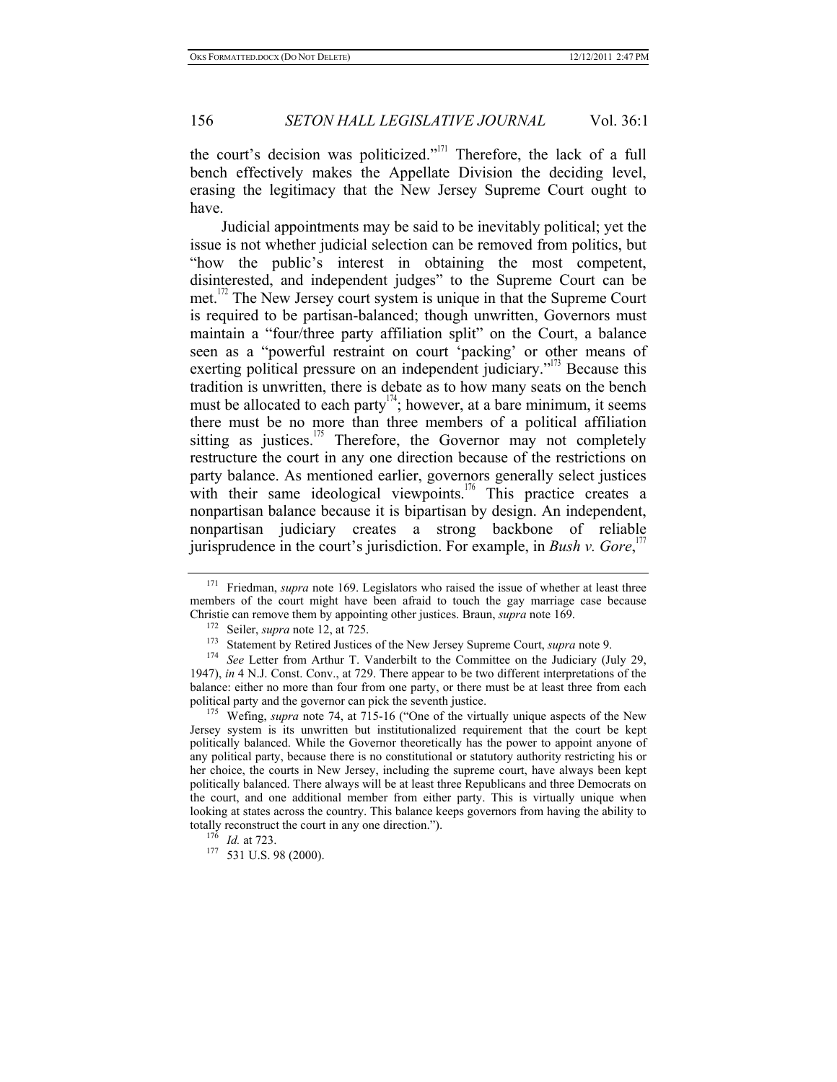the court's decision was politicized."<sup>171</sup> Therefore, the lack of a full bench effectively makes the Appellate Division the deciding level, erasing the legitimacy that the New Jersey Supreme Court ought to have.

Judicial appointments may be said to be inevitably political; yet the issue is not whether judicial selection can be removed from politics, but "how the public's interest in obtaining the most competent, disinterested, and independent judges" to the Supreme Court can be met. $1/2$  The New Jersey court system is unique in that the Supreme Court is required to be partisan-balanced; though unwritten, Governors must maintain a "four/three party affiliation split" on the Court, a balance seen as a "powerful restraint on court 'packing' or other means of exerting political pressure on an independent judiciary."<sup>173</sup> Because this tradition is unwritten, there is debate as to how many seats on the bench must be allocated to each party<sup> $174$ </sup>; however, at a bare minimum, it seems there must be no more than three members of a political affiliation sitting as justices. $175$  Therefore, the Governor may not completely restructure the court in any one direction because of the restrictions on party balance. As mentioned earlier, governors generally select justices with their same ideological viewpoints.<sup>176</sup> This practice creates a nonpartisan balance because it is bipartisan by design. An independent, nonpartisan judiciary creates a strong backbone of reliable jurisprudence in the court's jurisdiction. For example, in *Bush v. Gore*,<sup>177</sup>

Jersey system is its unwritten but institutionalized requirement that the court be kept politically balanced. While the Governor theoretically has the power to appoint anyone of any political party, because there is no constitutional or statutory authority restricting his or her choice, the courts in New Jersey, including the supreme court, have always been kept politically balanced. There always will be at least three Republicans and three Democrats on the court, and one additional member from either party. This is virtually unique when looking at states across the country. This balance keeps governors from having the ability to totally reconstruct the court in any one direction.").<br><sup>176</sup> *Id.* at 723.<br><sup>177</sup> 531 U.S. 98 (2000).

<sup>&</sup>lt;sup>171</sup> Friedman, *supra* note 169. Legislators who raised the issue of whether at least three members of the court might have been afraid to touch the gay marriage case because Christie can remove them by appointing other justices. Braun, *supra* note 169.<br><sup>172</sup> Seiler, *supra* note 12, at 725.<br><sup>173</sup> Statement by Retired Justices of the New Jersey Supreme Court, *supra* note 9.<br><sup>174</sup> See Letter f

<sup>1947),</sup> *in* 4 N.J. Const. Conv., at 729. There appear to be two different interpretations of the balance: either no more than four from one party, or there must be at least three from each political party and the governor can pick the seventh justice.<br><sup>175</sup> Wefing, *supra* note 74, at 715-16 ("One of the virtually unique aspects of the New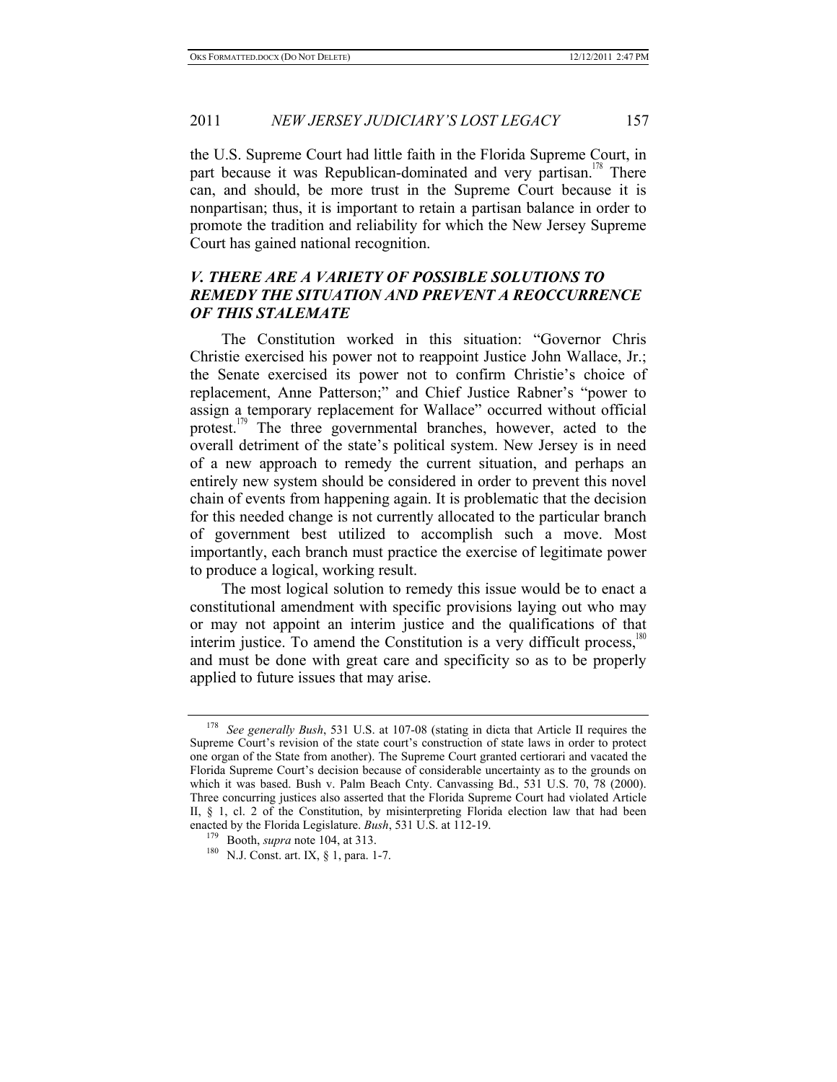the U.S. Supreme Court had little faith in the Florida Supreme Court, in part because it was Republican-dominated and very partisan.<sup>178</sup> There can, and should, be more trust in the Supreme Court because it is nonpartisan; thus, it is important to retain a partisan balance in order to promote the tradition and reliability for which the New Jersey Supreme Court has gained national recognition.

# *V. THERE ARE A VARIETY OF POSSIBLE SOLUTIONS TO REMEDY THE SITUATION AND PREVENT A REOCCURRENCE OF THIS STALEMATE*

The Constitution worked in this situation: "Governor Chris Christie exercised his power not to reappoint Justice John Wallace, Jr.; the Senate exercised its power not to confirm Christie's choice of replacement, Anne Patterson;" and Chief Justice Rabner's "power to assign a temporary replacement for Wallace" occurred without official protest.<sup>179</sup> The three governmental branches, however, acted to the overall detriment of the state's political system. New Jersey is in need of a new approach to remedy the current situation, and perhaps an entirely new system should be considered in order to prevent this novel chain of events from happening again. It is problematic that the decision for this needed change is not currently allocated to the particular branch of government best utilized to accomplish such a move. Most importantly, each branch must practice the exercise of legitimate power to produce a logical, working result.

The most logical solution to remedy this issue would be to enact a constitutional amendment with specific provisions laying out who may or may not appoint an interim justice and the qualifications of that interim justice. To amend the Constitution is a very difficult process, $180$ and must be done with great care and specificity so as to be properly applied to future issues that may arise.

See generally Bush, 531 U.S. at 107-08 (stating in dicta that Article II requires the Supreme Court's revision of the state court's construction of state laws in order to protect one organ of the State from another). The Supreme Court granted certiorari and vacated the Florida Supreme Court's decision because of considerable uncertainty as to the grounds on which it was based. Bush v. Palm Beach Cnty. Canvassing Bd., 531 U.S. 70, 78 (2000). Three concurring justices also asserted that the Florida Supreme Court had violated Article II,  $\S$  1, cl. 2 of the Constitution, by misinterpreting Florida election law that had been enacted by the Florida Legislature. *Bush*, 531 U.S. at 112-19.<br><sup>179</sup> Booth, *supra* note 104, at 313.<br><sup>180</sup> N.J. Const. art. IX, § 1, para. 1-7.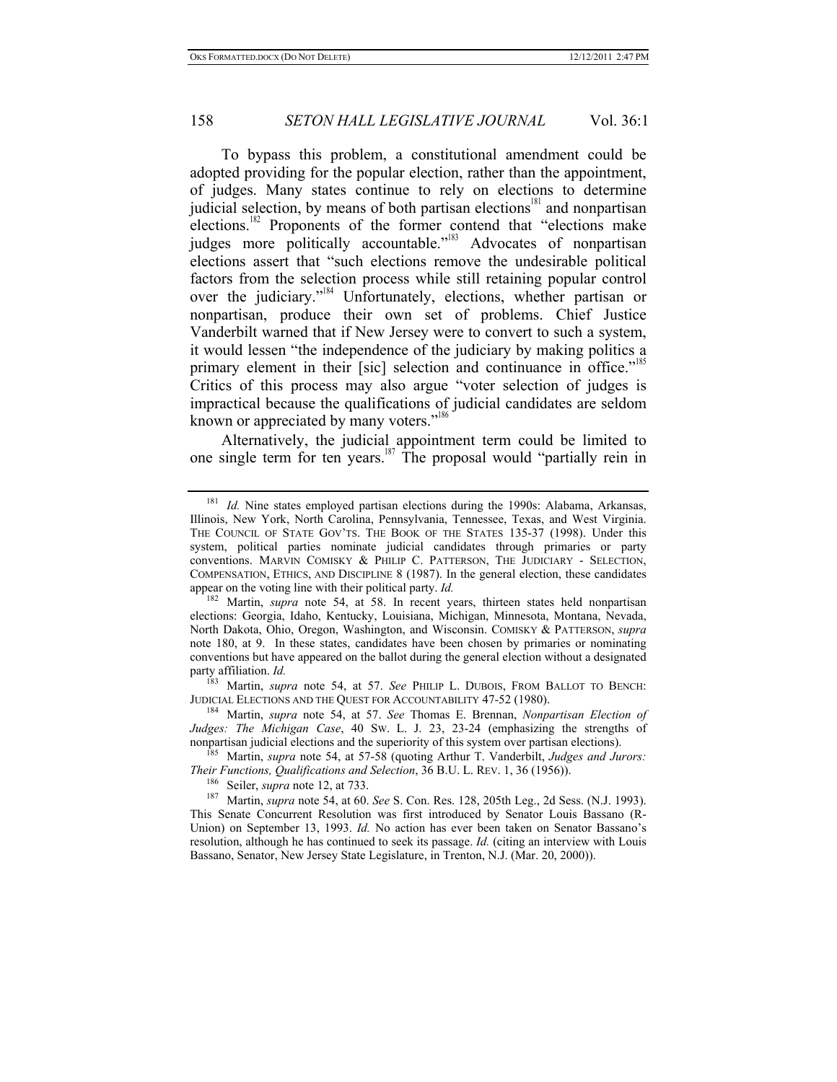To bypass this problem, a constitutional amendment could be adopted providing for the popular election, rather than the appointment, of judges. Many states continue to rely on elections to determine judicial selection, by means of both partisan elections<sup>181</sup> and nonpartisan elections.<sup>182</sup> Proponents of the former contend that "elections make judges more politically accountable."<sup>183</sup> Advocates of nonpartisan elections assert that "such elections remove the undesirable political factors from the selection process while still retaining popular control over the judiciary."184 Unfortunately, elections, whether partisan or nonpartisan, produce their own set of problems. Chief Justice Vanderbilt warned that if New Jersey were to convert to such a system, it would lessen "the independence of the judiciary by making politics a primary element in their [sic] selection and continuance in office."<sup>185</sup> Critics of this process may also argue "voter selection of judges is impractical because the qualifications of judicial candidates are seldom known or appreciated by many voters."<sup>18</sup>

Alternatively, the judicial appointment term could be limited to one single term for ten years.<sup>187</sup> The proposal would "partially rein in

<sup>184</sup> Martin, *supra* note 54, at 57. *See* Thomas E. Brennan, *Nonpartisan Election of Judges: The Michigan Case*, 40 SW. L. J. 23, 23-24 (emphasizing the strengths of

nonpartisan judicial elections and the superiority of this system over partisan elections).<br><sup>185</sup> Martin, *supra* note 54, at 57-58 (quoting Arthur T. Vanderbilt, *Judges and Jurors: Their Functions, Qualifications and S* 

<sup>186</sup> Seiler, *supra* note 12, at 733.<br><sup>187</sup> Martin, *supra* note 54, at 60. See S. Con. Res. 128, 205th Leg., 2d Sess. (N.J. 1993). This Senate Concurrent Resolution was first introduced by Senator Louis Bassano (R-Union) on September 13, 1993. *Id.* No action has ever been taken on Senator Bassano's resolution, although he has continued to seek its passage. *Id.* (citing an interview with Louis Bassano, Senator, New Jersey State Legislature, in Trenton, N.J. (Mar. 20, 2000)).

<sup>181</sup> *Id.* Nine states employed partisan elections during the 1990s: Alabama, Arkansas, Illinois, New York, North Carolina, Pennsylvania, Tennessee, Texas, and West Virginia. THE COUNCIL OF STATE GOV'TS. THE BOOK OF THE STATES 135-37 (1998). Under this system, political parties nominate judicial candidates through primaries or party conventions. MARVIN COMISKY & PHILIP C. PATTERSON, THE JUDICIARY - SELECTION, COMPENSATION, ETHICS, AND DISCIPLINE 8 (1987). In the general election, these candidates appear on the voting line with their political party. *Id.*<br><sup>182</sup> Martin, gunus, pote 54, at 58. In recent vs.

Martin, *supra* note 54, at 58. In recent years, thirteen states held nonpartisan elections: Georgia, Idaho, Kentucky, Louisiana, Michigan, Minnesota, Montana, Nevada, North Dakota, Ohio, Oregon, Washington, and Wisconsin. COMISKY & PATTERSON, *supra*  note 180, at 9. In these states, candidates have been chosen by primaries or nominating conventions but have appeared on the ballot during the general election without a designated party affiliation. *Id.*

<sup>&</sup>lt;sup>183</sup> Martin, *supra* note 54, at 57. *See* PHILIP L. DUBOIS, FROM BALLOT TO BENCH:<br>JUDICIAL ELECTIONS AND THE QUEST FOR ACCOUNTABILITY 47-52 (1980).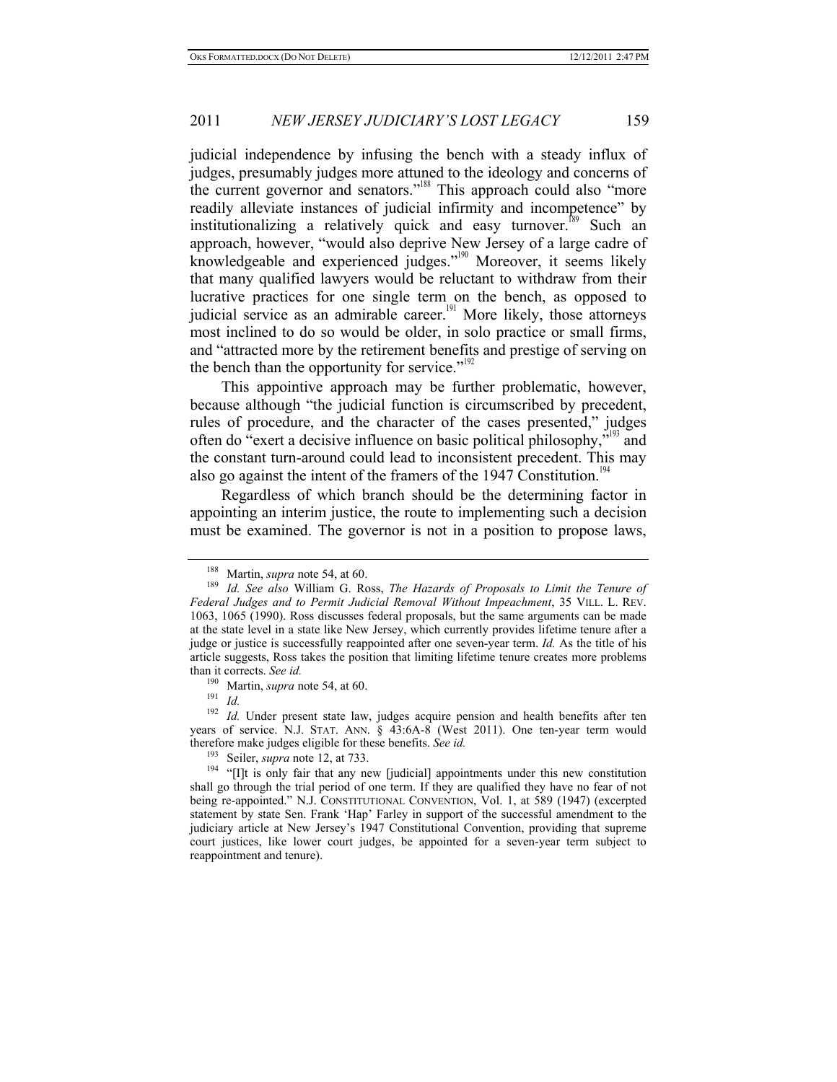judicial independence by infusing the bench with a steady influx of judges, presumably judges more attuned to the ideology and concerns of the current governor and senators."<sup>188</sup> This approach could also "more" readily alleviate instances of judicial infirmity and incompetence" by institutionalizing a relatively quick and easy turnover.<sup>189</sup> Such an approach, however, "would also deprive New Jersey of a large cadre of knowledgeable and experienced judges."<sup>190</sup> Moreover, it seems likely that many qualified lawyers would be reluctant to withdraw from their lucrative practices for one single term on the bench, as opposed to judicial service as an admirable career.<sup>191</sup> More likely, those attorneys most inclined to do so would be older, in solo practice or small firms, and "attracted more by the retirement benefits and prestige of serving on the bench than the opportunity for service."<sup>192</sup>

This appointive approach may be further problematic, however, because although "the judicial function is circumscribed by precedent, rules of procedure, and the character of the cases presented," judges often do "exert a decisive influence on basic political philosophy,"<sup>193</sup> and the constant turn-around could lead to inconsistent precedent. This may also go against the intent of the framers of the 1947 Constitution.<sup>1</sup>

Regardless of which branch should be the determining factor in appointing an interim justice, the route to implementing such a decision must be examined. The governor is not in a position to propose laws,

<sup>&</sup>lt;sup>188</sup> Martin, *supra* note 54, at 60.<br><sup>189</sup> *Id. See also* William G. Ross, *The Hazards of Proposals to Limit the Tenure of Federal Judges and to Permit Judicial Removal Without Impeachment*, 35 VILL. L. REV. 1063, 1065 (1990). Ross discusses federal proposals, but the same arguments can be made at the state level in a state like New Jersey, which currently provides lifetime tenure after a judge or justice is successfully reappointed after one seven-year term. *Id.* As the title of his article suggests, Ross takes the position that limiting lifetime tenure creates more problems than it corrects. *See id.*

<sup>190</sup> Martin, *supra* note 54, at 60. 191 *Id.*

<sup>&</sup>lt;sup>192</sup> *Id.* Under present state law, judges acquire pension and health benefits after ten years of service. N.J. STAT. ANN. § 43:6A-8 (West 2011). One ten-year term would therefore make judges eligible for these benefits. *See id.*

<sup>&</sup>lt;sup>194</sup> "[I]t is only fair that any new [judicial] appointments under this new constitution shall go through the trial period of one term. If they are qualified they have no fear of not being re-appointed." N.J. CONSTITUTIONAL CONVENTION, Vol. 1, at 589 (1947) (excerpted statement by state Sen. Frank 'Hap' Farley in support of the successful amendment to the judiciary article at New Jersey's 1947 Constitutional Convention, providing that supreme court justices, like lower court judges, be appointed for a seven-year term subject to reappointment and tenure).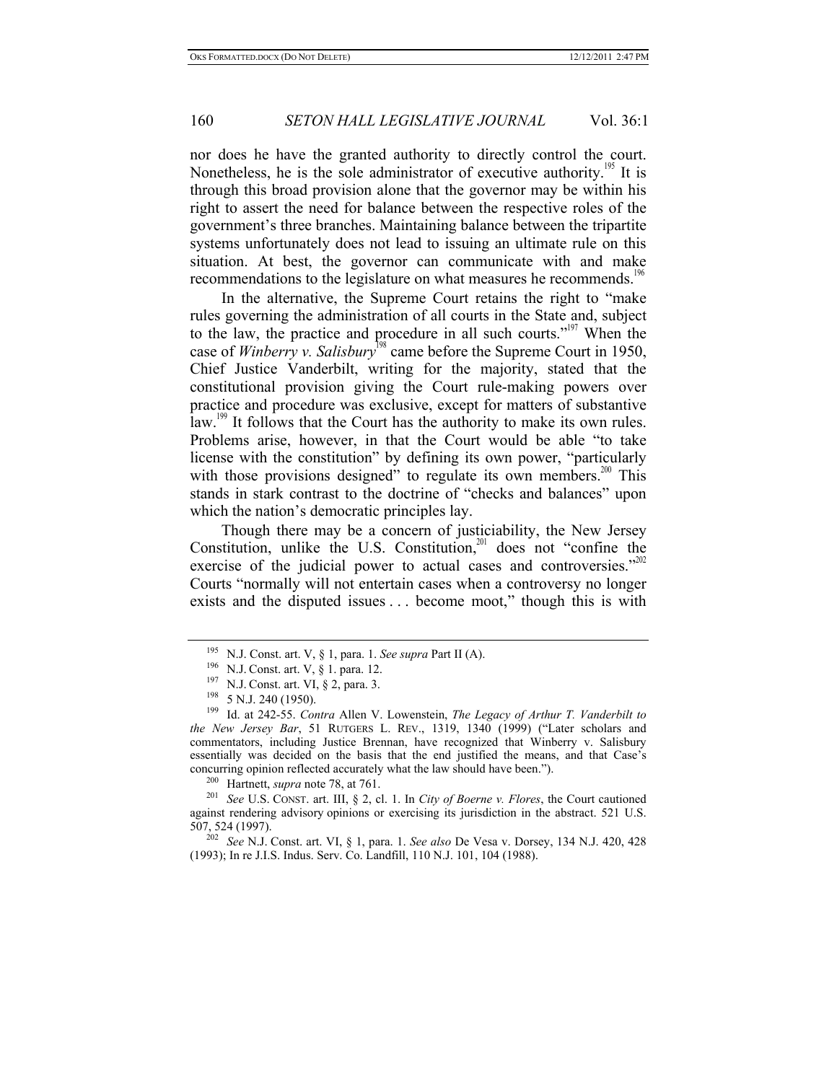nor does he have the granted authority to directly control the court. Nonetheless, he is the sole administrator of executive authority.<sup>195</sup> It is through this broad provision alone that the governor may be within his right to assert the need for balance between the respective roles of the government's three branches. Maintaining balance between the tripartite systems unfortunately does not lead to issuing an ultimate rule on this situation. At best, the governor can communicate with and make recommendations to the legislature on what measures he recommends.<sup>196</sup>

In the alternative, the Supreme Court retains the right to "make rules governing the administration of all courts in the State and, subject to the law, the practice and procedure in all such courts."<sup>197</sup> When the case of *Winberry v. Salisbury*<sup>198</sup> came before the Supreme Court in 1950, Chief Justice Vanderbilt, writing for the majority, stated that the constitutional provision giving the Court rule-making powers over practice and procedure was exclusive, except for matters of substantive law.<sup>199</sup> It follows that the Court has the authority to make its own rules. Problems arise, however, in that the Court would be able "to take license with the constitution" by defining its own power, "particularly with those provisions designed" to regulate its own members.<sup>200</sup> This stands in stark contrast to the doctrine of "checks and balances" upon which the nation's democratic principles lay.

Though there may be a concern of justiciability, the New Jersey Constitution, unlike the U.S. Constitution, $201$  does not "confine the exercise of the judicial power to actual cases and controversies." $2^{02}$ Courts "normally will not entertain cases when a controversy no longer exists and the disputed issues . . . become moot," though this is with

(1993); In re J.I.S. Indus. Serv. Co. Landfill, 110 N.J. 101, 104 (1988).

<sup>&</sup>lt;sup>195</sup> N.J. Const. art. V, § 1, para. 1. *See supra* Part II (A).<br><sup>196</sup> N.J. Const. art. V, § 1. para. 12.<br><sup>197</sup> N.J. Const. art. VI, § 2, para. 3.<br><sup>198</sup> 5 N.J. 240 (1950).<br><sup>199</sup> Id. at 242-55. *Contra* Allen V. Lowenstein *the New Jersey Bar*, 51 RUTGERS L. REV., 1319, 1340 (1999) ("Later scholars and commentators, including Justice Brennan, have recognized that Winberry v. Salisbury essentially was decided on the basis that the end justified the means, and that Case's concurring opinion reflected accurately what the law should have been.").

<sup>200</sup> Hartnett, *supra* note 78, at 761. 201 *See* U.S. CONST. art. III, § 2, cl. 1. In *City of Boerne v. Flores*, the Court cautioned against rendering advisory opinions or exercising its jurisdiction in the abstract. 521 U.S. 507, 524 (1997). 202 *See* N.J. Const. art. VI, § 1, para. 1. *See also* De Vesa v. Dorsey, 134 N.J. 420, 428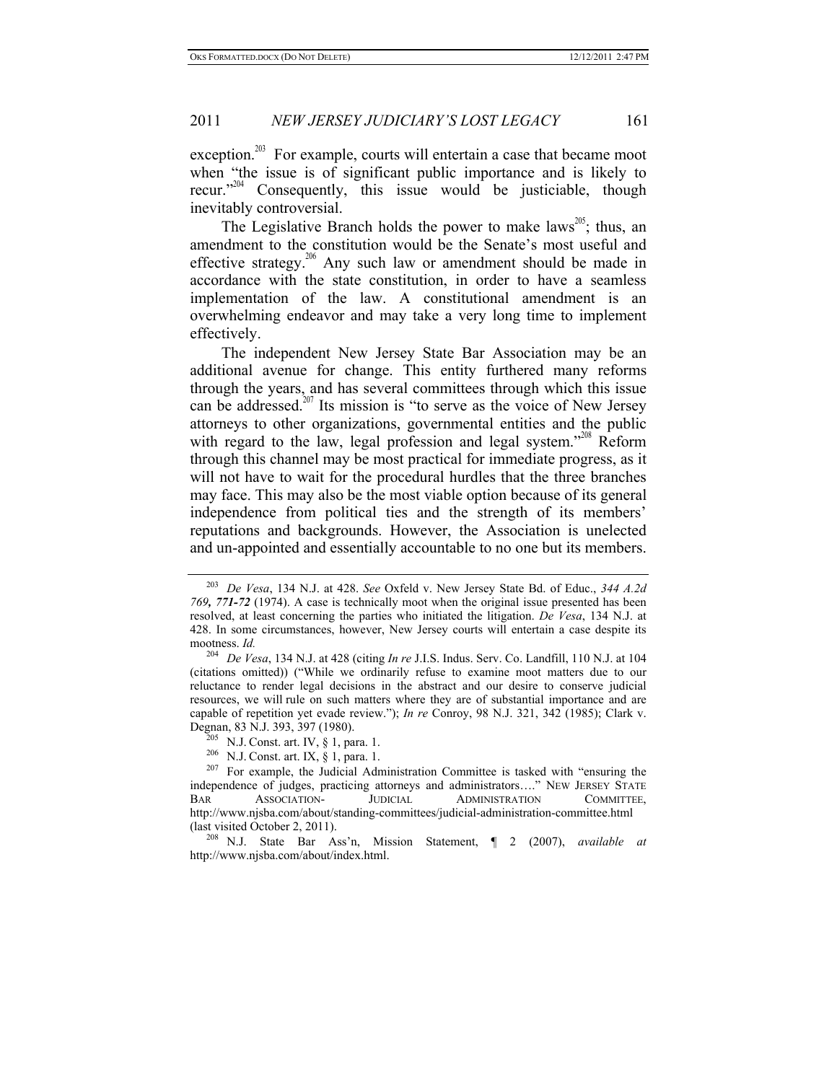exception.<sup>203</sup> For example, courts will entertain a case that became moot when "the issue is of significant public importance and is likely to recur."<sup>204</sup> Consequently, this issue would be justiciable, though inevitably controversial.

The Legislative Branch holds the power to make laws<sup>205</sup>; thus, an amendment to the constitution would be the Senate's most useful and effective strategy.<sup>206</sup> Any such law or amendment should be made in accordance with the state constitution, in order to have a seamless implementation of the law. A constitutional amendment is an overwhelming endeavor and may take a very long time to implement effectively.

The independent New Jersey State Bar Association may be an additional avenue for change. This entity furthered many reforms through the years, and has several committees through which this issue can be addressed.<sup>207</sup> Its mission is "to serve as the voice of New Jersey" attorneys to other organizations, governmental entities and the public with regard to the law, legal profession and legal system."<sup>208</sup> Reform through this channel may be most practical for immediate progress, as it will not have to wait for the procedural hurdles that the three branches may face. This may also be the most viable option because of its general independence from political ties and the strength of its members' reputations and backgrounds. However, the Association is unelected and un-appointed and essentially accountable to no one but its members.

<sup>203</sup> *De Vesa*, 134 N.J. at 428. *See* Oxfeld v. New Jersey State Bd. of Educ., *344 A.2d 769, 771-72* (1974). A case is technically moot when the original issue presented has been resolved, at least concerning the parties who initiated the litigation. *De Vesa*, 134 N.J. at 428. In some circumstances, however, New Jersey courts will entertain a case despite its mootness. *Id.* 

<sup>204</sup> *De Vesa*, 134 N.J. at 428 (citing *In re* J.I.S. Indus. Serv. Co. Landfill, 110 N.J. at 104 (citations omitted)) ("While we ordinarily refuse to examine moot matters due to our reluctance to render legal decisions in the abstract and our desire to conserve judicial resources, we will rule on such matters where they are of substantial importance and are capable of repetition yet evade review."); *In re* Conroy, 98 N.J. 321, 342 (1985); Clark v.

Degnan, 83 N.J. 393, 397 (1980).<br><sup>205</sup> N.J. Const. art. IV, § 1, para. 1.<br><sup>206</sup> N.J. Const. art. IX, § 1, para. 1.<br><sup>207</sup> For example, the Judicial Administration Committee is tasked with "ensuring the independence of judges, practicing attorneys and administrators…." NEW JERSEY STATE BAR ASSOCIATION- JUDICIAL ADMINISTRATION COMMITTEE, http://www.njsba.com/about/standing-committees/judicial-administration-committee.html (last visited October 2, 2011). 208 N.J. State Bar Ass'n, Mission Statement, ¶ 2 (2007), *available at*

http://www.njsba.com/about/index.html.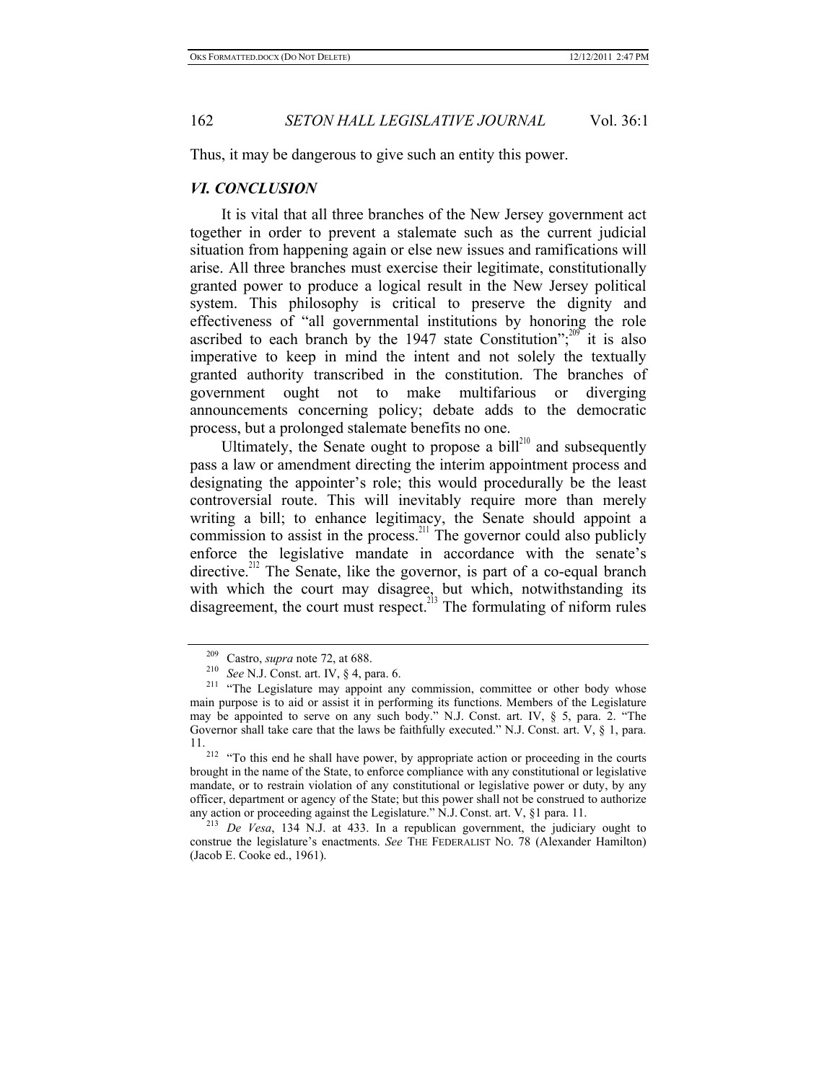Thus, it may be dangerous to give such an entity this power.

### *VI. CONCLUSION*

It is vital that all three branches of the New Jersey government act together in order to prevent a stalemate such as the current judicial situation from happening again or else new issues and ramifications will arise. All three branches must exercise their legitimate, constitutionally granted power to produce a logical result in the New Jersey political system. This philosophy is critical to preserve the dignity and effectiveness of "all governmental institutions by honoring the role ascribed to each branch by the 1947 state Constitution"; $^{209}$  it is also imperative to keep in mind the intent and not solely the textually granted authority transcribed in the constitution. The branches of government ought not to make multifarious or diverging announcements concerning policy; debate adds to the democratic process, but a prolonged stalemate benefits no one.

Ultimately, the Senate ought to propose a bill $^{210}$  and subsequently pass a law or amendment directing the interim appointment process and designating the appointer's role; this would procedurally be the least controversial route. This will inevitably require more than merely writing a bill; to enhance legitimacy, the Senate should appoint a commission to assist in the process.<sup>211</sup> The governor could also publicly enforce the legislative mandate in accordance with the senate's directive.<sup>212</sup> The Senate, like the governor, is part of a co-equal branch with which the court may disagree, but which, notwithstanding its disagreement, the court must respect.<sup>213</sup> The formulating of niform rules

<sup>&</sup>lt;sup>209</sup> Castro, *supra* note 72, at 688.<br><sup>210</sup> *See* N.J. Const. art. IV, § 4, para. 6.<br><sup>211</sup> "The Legislature may appoint any commission, committee or other body whose main purpose is to aid or assist it in performing its functions. Members of the Legislature may be appointed to serve on any such body." N.J. Const. art. IV, § 5, para. 2. "The Governor shall take care that the laws be faithfully executed." N.J. Const. art. V, § 1, para. 11. 212 "To this end he shall have power, by appropriate action or proceeding in the courts

brought in the name of the State, to enforce compliance with any constitutional or legislative mandate, or to restrain violation of any constitutional or legislative power or duty, by any officer, department or agency of the State; but this power shall not be construed to authorize any action or proceeding against the Legislature." N.J. Const. art. V,  $\S1$  para. 11.

 $213$  *De Vesa*, 134 N.J. at 433. In a republican government, the judiciary ought to construe the legislature's enactments. *See* THE FEDERALIST No. 78 (Alexander Hamilton) (Jacob E. Cooke ed., 1961).